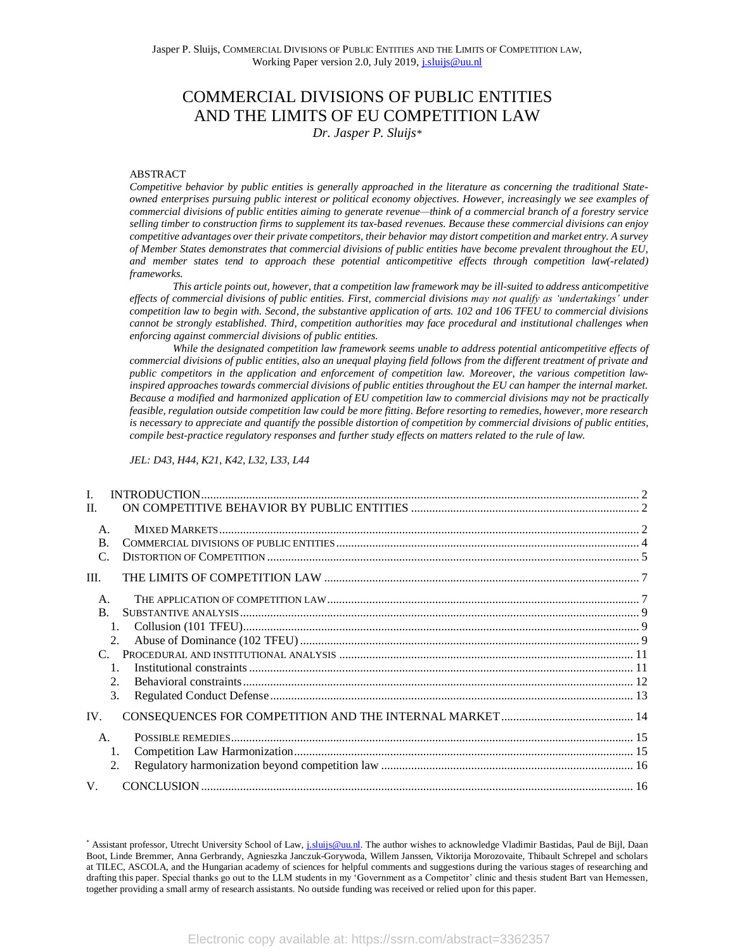# COMMERCIAL DIVISIONS OF PUBLIC ENTITIES AND THE LIMITS OF EU COMPETITION LAW *Dr. Jasper P. Sluijs\**

## ABSTRACT

*Competitive behavior by public entities is generally approached in the literature as concerning the traditional Stateowned enterprises pursuing public interest or political economy objectives. However, increasingly we see examples of commercial divisions of public entities aiming to generate revenue—think of a commercial branch of a forestry service selling timber to construction firms to supplement its tax-based revenues. Because these commercial divisions can enjoy competitive advantages over their private competitors, their behavior may distort competition and market entry. A survey of Member States demonstrates that commercial divisions of public entities have become prevalent throughout the EU, and member states tend to approach these potential anticompetitive effects through competition law(-related) frameworks.*

*This article points out, however, that a competition law framework may be ill-suited to address anticompetitive effects of commercial divisions of public entities. First, commercial divisions may not qualify as 'undertakings' under competition law to begin with. Second, the substantive application of arts. 102 and 106 TFEU to commercial divisions cannot be strongly established. Third, competition authorities may face procedural and institutional challenges when enforcing against commercial divisions of public entities.*

*While the designated competition law framework seems unable to address potential anticompetitive effects of commercial divisions of public entities, also an unequal playing field follows from the different treatment of private and public competitors in the application and enforcement of competition law. Moreover, the various competition lawinspired approaches towards commercial divisions of public entities throughout the EU can hamper the internal market. Because a modified and harmonized application of EU competition law to commercial divisions may not be practically feasible, regulation outside competition law could be more fitting. Before resorting to remedies, however, more research is necessary to appreciate and quantify the possible distortion of competition by commercial divisions of public entities, compile best-practice regulatory responses and further study effects on matters related to the rule of law.*

*JEL: D43, H44, K21, K42, L32, L33, L44*

| $\mathbf{L}$                        |  |
|-------------------------------------|--|
| II.                                 |  |
| A.<br><sub>R</sub><br>$\mathcal{C}$ |  |
| III.                                |  |
| A.                                  |  |
| <sub>R</sub>                        |  |
| 1.                                  |  |
| 2.                                  |  |
| $\mathcal{C}$                       |  |
| $\mathbf{1}$                        |  |
| 2.                                  |  |
| 3.                                  |  |
| IV.                                 |  |
| $A$ .                               |  |
| 1.                                  |  |
| 2.                                  |  |
| $V_{\cdot}$                         |  |

<sup>\*</sup> Assistant professor, Utrecht University School of Law, *j.sluijs@uu.nl*. The author wishes to acknowledge Vladimir Bastidas, Paul de Bijl, Daan Boot, Linde Bremmer, Anna Gerbrandy, Agnieszka Janczuk-Gorywoda, Willem Janssen, Viktorija Morozovaite, Thibault Schrepel and scholars at TILEC, ASCOLA, and the Hungarian academy of sciences for helpful comments and suggestions during the various stages of researching and drafting this paper. Special thanks go out to the LLM students in my 'Government as a Competitor' clinic and thesis student Bart van Hemessen, together providing a small army of research assistants. No outside funding was received or relied upon for this paper.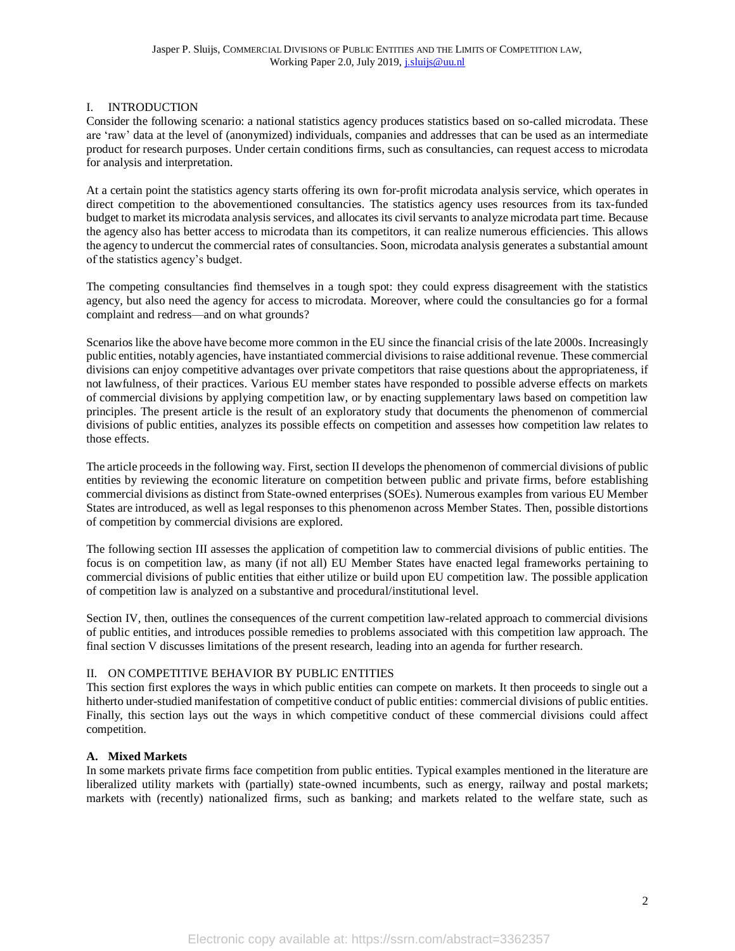# <span id="page-1-0"></span>I. INTRODUCTION

Consider the following scenario: a national statistics agency produces statistics based on so-called microdata. These are 'raw' data at the level of (anonymized) individuals, companies and addresses that can be used as an intermediate product for research purposes. Under certain conditions firms, such as consultancies, can request access to microdata for analysis and interpretation.

At a certain point the statistics agency starts offering its own for-profit microdata analysis service, which operates in direct competition to the abovementioned consultancies. The statistics agency uses resources from its tax-funded budget to marketits microdata analysis services, and allocates its civil servants to analyze microdata part time. Because the agency also has better access to microdata than its competitors, it can realize numerous efficiencies. This allows the agency to undercut the commercial rates of consultancies. Soon, microdata analysis generates a substantial amount of the statistics agency's budget.

The competing consultancies find themselves in a tough spot: they could express disagreement with the statistics agency, but also need the agency for access to microdata. Moreover, where could the consultancies go for a formal complaint and redress—and on what grounds?

Scenarios like the above have become more common in the EU since the financial crisis of the late 2000s. Increasingly public entities, notably agencies, have instantiated commercial divisions to raise additional revenue. These commercial divisions can enjoy competitive advantages over private competitors that raise questions about the appropriateness, if not lawfulness, of their practices. Various EU member states have responded to possible adverse effects on markets of commercial divisions by applying competition law, or by enacting supplementary laws based on competition law principles. The present article is the result of an exploratory study that documents the phenomenon of commercial divisions of public entities, analyzes its possible effects on competition and assesses how competition law relates to those effects.

The article proceeds in the following way. First, section [II](#page-1-1) develops the phenomenon of commercial divisions of public entities by reviewing the economic literature on competition between public and private firms, before establishing commercial divisions as distinct from State-owned enterprises (SOEs). Numerous examples from various EU Member States are introduced, as well as legal responses to this phenomenon across Member States. Then, possible distortions of competition by commercial divisions are explored.

The following section [III](#page-6-0) assesses the application of competition law to commercial divisions of public entities. The focus is on competition law, as many (if not all) EU Member States have enacted legal frameworks pertaining to commercial divisions of public entities that either utilize or build upon EU competition law. The possible application of competition law is analyzed on a substantive and procedural/institutional level.

Section [IV,](#page-13-0) then, outlines the consequences of the current competition law-related approach to commercial divisions of public entities, and introduces possible remedies to problems associated with this competition law approach. The final section [V](#page-15-1) discusses limitations of the present research, leading into an agenda for further research.

# <span id="page-1-1"></span>II. ON COMPETITIVE BEHAVIOR BY PUBLIC ENTITIES

This section first explores the ways in which public entities can compete on markets. It then proceeds to single out a hitherto under-studied manifestation of competitive conduct of public entities: commercial divisions of public entities. Finally, this section lays out the ways in which competitive conduct of these commercial divisions could affect competition.

# <span id="page-1-2"></span>**A. Mixed Markets**

In some markets private firms face competition from public entities. Typical examples mentioned in the literature are liberalized utility markets with (partially) state-owned incumbents, such as energy, railway and postal markets; markets with (recently) nationalized firms, such as banking; and markets related to the welfare state, such as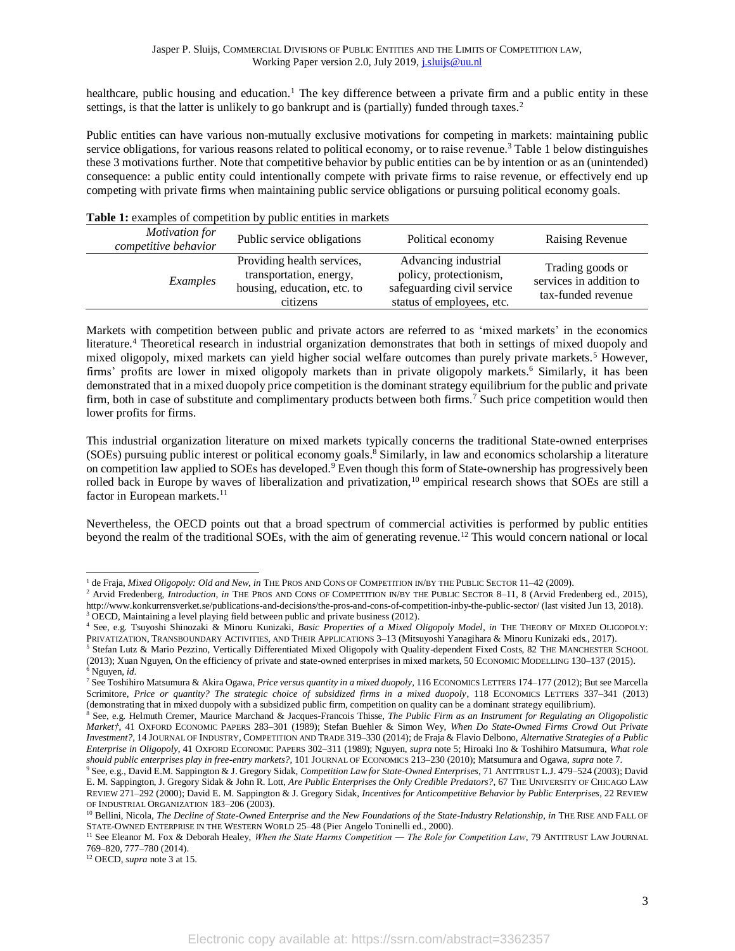healthcare, public housing and education.<sup>1</sup> The key difference between a private firm and a public entity in these settings, is that the latter is unlikely to go bankrupt and is (partially) funded through taxes.<sup>2</sup>

Public entities can have various non-mutually exclusive motivations for competing in markets: maintaining public service obligations, for various reasons related to political economy, or to raise revenue.<sup>3</sup> [Table 1](#page-2-0) below distinguishes these 3 motivations further. Note that competitive behavior by public entities can be by intention or as an (unintended) consequence: a public entity could intentionally compete with private firms to raise revenue, or effectively end up competing with private firms when maintaining public service obligations or pursuing political economy goals.

| peone entries in material              |                                                                                                  |                                                                                                           |                                                                   |  |  |
|----------------------------------------|--------------------------------------------------------------------------------------------------|-----------------------------------------------------------------------------------------------------------|-------------------------------------------------------------------|--|--|
| Motivation for<br>competitive behavior | Public service obligations                                                                       | Political economy                                                                                         | <b>Raising Revenue</b>                                            |  |  |
| Examples                               | Providing health services,<br>transportation, energy,<br>housing, education, etc. to<br>citizens | Advancing industrial<br>policy, protectionism,<br>safeguarding civil service<br>status of employees, etc. | Trading goods or<br>services in addition to<br>tax-funded revenue |  |  |
|                                        |                                                                                                  |                                                                                                           |                                                                   |  |  |

# <span id="page-2-0"></span>**Table 1:** examples of competition by public entities in markets

Markets with competition between public and private actors are referred to as 'mixed markets' in the economics literature.<sup>4</sup> Theoretical research in industrial organization demonstrates that both in settings of mixed duopoly and mixed oligopoly, mixed markets can yield higher social welfare outcomes than purely private markets.<sup>5</sup> However, firms' profits are lower in mixed oligopoly markets than in private oligopoly markets.<sup>6</sup> Similarly, it has been demonstrated that in a mixed duopoly price competition is the dominant strategy equilibrium for the public and private firm, both in case of substitute and complimentary products between both firms.<sup>7</sup> Such price competition would then lower profits for firms.

<span id="page-2-2"></span><span id="page-2-1"></span>This industrial organization literature on mixed markets typically concerns the traditional State-owned enterprises (SOEs) pursuing public interest or political economy goals. <sup>8</sup> Similarly, in law and economics scholarship a literature on competition law applied to SOEs has developed.<sup>9</sup> Even though this form of State-ownership has progressively been rolled back in Europe by waves of liberalization and privatization,<sup>10</sup> empirical research shows that SOEs are still a factor in European markets.<sup>11</sup>

Nevertheless, the OECD points out that a broad spectrum of commercial activities is performed by public entities beyond the realm of the traditional SOEs, with the aim of generating revenue. <sup>12</sup> This would concern national or local

<sup>&</sup>lt;sup>1</sup> de Fraja, *Mixed Oligopoly: Old and New*, *in* THE PROS AND CONS OF COMPETITION IN/BY THE PUBLIC SECTOR 11–42 (2009).

<sup>&</sup>lt;sup>2</sup> Arvid Fredenberg, *Introduction*, *in* THE PROS AND CONS OF COMPETITION IN/BY THE PUBLIC SECTOR 8-11, 8 (Arvid Fredenberg ed., 2015), http://www.konkurrensverket.se/publications-and-decisions/the-pros-and-cons-of-competition-inby-the-public-sector/ (last visited Jun 13, 2018).  $3$  OECD, Maintaining a level playing field between public and private business (2012).

<sup>4</sup> See, e.g. Tsuyoshi Shinozaki & Minoru Kunizaki, *Basic Properties of a Mixed Oligopoly Model*, *in* THE THEORY OF MIXED OLIGOPOLY: PRIVATIZATION, TRANSBOUNDARY ACTIVITIES, AND THEIR APPLICATIONS 3–13 (Mitsuyoshi Yanagihara & Minoru Kunizaki eds., 2017).

<sup>&</sup>lt;sup>5</sup> Stefan Lutz & Mario Pezzino, Vertically Differentiated Mixed Oligopoly with Quality-dependent Fixed Costs, 82 THE MANCHESTER SCHOOL (2013); Xuan Nguyen, On the efficiency of private and state-owned enterprises in mixed markets, 50 ECONOMIC MODELLING 130–137 (2015). <sup>6</sup> Nguyen, *id*.

<sup>7</sup> See Toshihiro Matsumura & Akira Ogawa, *Price versus quantity in a mixed duopoly*, 116 ECONOMICS LETTERS 174–177 (2012); But see Marcella Scrimitore, *Price or quantity? The strategic choice of subsidized firms in a mixed duopoly*, 118 ECONOMICS LETTERS 337–341 (2013) (demonstrating that in mixed duopoly with a subsidized public firm, competition on quality can be a dominant strategy equilibrium).

<sup>8</sup> See, e.g. Helmuth Cremer, Maurice Marchand & Jacques-Francois Thisse, *The Public Firm as an Instrument for Regulating an Oligopolistic Market†*, 41 OXFORD ECONOMIC PAPERS 283–301 (1989); Stefan Buehler & Simon Wey, *When Do State-Owned Firms Crowd Out Private Investment?*, 14 JOURNAL OF INDUSTRY, COMPETITION AND TRADE 319–330 (2014); de Fraja & Flavio Delbono, *Alternative Strategies of a Public Enterprise in Oligopoly*, 41 OXFORD ECONOMIC PAPERS 302–311 (1989); Nguyen, *supra* note 5; Hiroaki Ino & Toshihiro Matsumura, *What role should public enterprises play in free-entry markets?*, 101 JOURNAL OF ECONOMICS 213–230 (2010); Matsumura and Ogawa, *supra* note 7.

<sup>9</sup> See, e.g., David E.M. Sappington & J. Gregory Sidak, *Competition Law for State-Owned Enterprises*, 71 ANTITRUST L.J. 479–524 (2003); David E. M. Sappington, J. Gregory Sidak & John R. Lott, *Are Public Enterprises the Only Credible Predators?*, 67 THE UNIVERSITY OF CHICAGO LAW REVIEW 271–292 (2000); David E. M. Sappington & J. Gregory Sidak, *Incentives for Anticompetitive Behavior by Public Enterprises*, 22 REVIEW OF INDUSTRIAL ORGANIZATION 183–206 (2003).

<sup>&</sup>lt;sup>10</sup> Bellini, Nicola, *The Decline of State-Owned Enterprise and the New Foundations of the State-Industry Relationship, in THE RISE AND FALL OF* STATE-OWNED ENTERPRISE IN THE WESTERN WORLD 25–48 (Pier Angelo Toninelli ed., 2000).

<sup>11</sup> See Eleanor M. Fox & Deborah Healey, *When the State Harms Competition ― The Role for Competition Law*, 79 ANTITRUST LAW JOURNAL 769–820, 777–780 (2014).

<sup>12</sup> OECD, *supra* note 3 at 15.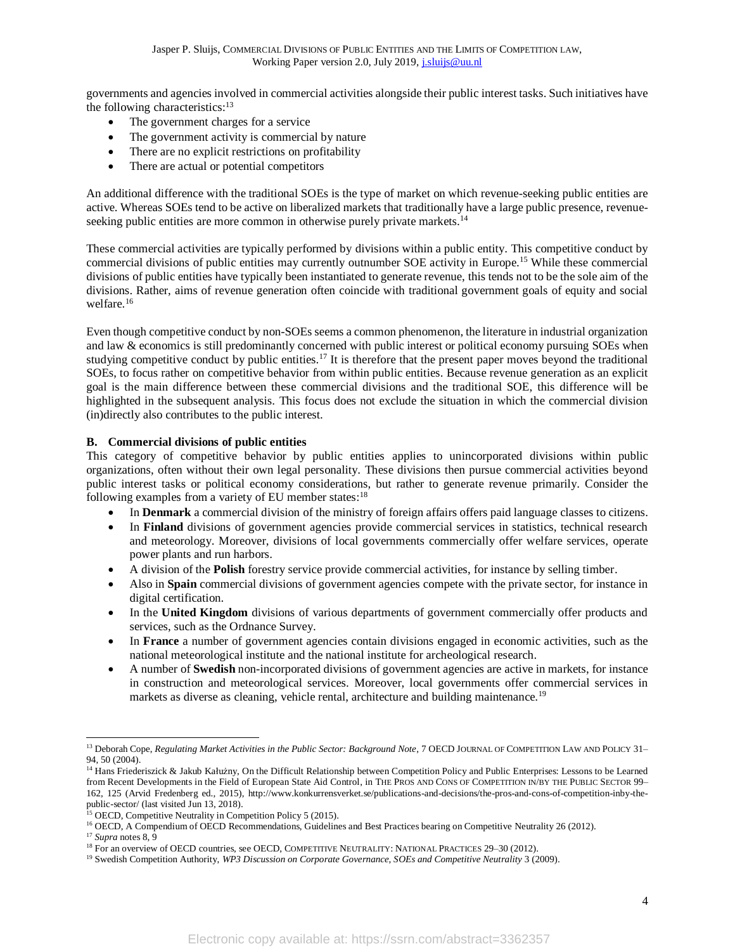governments and agencies involved in commercial activities alongside their public interest tasks.Such initiatives have the following characteristics:<sup>13</sup>

- The government charges for a service
- The government activity is commercial by nature
- There are no explicit restrictions on profitability
- There are actual or potential competitors

An additional difference with the traditional SOEs is the type of market on which revenue-seeking public entities are active. Whereas SOEs tend to be active on liberalized markets that traditionally have a large public presence, revenueseeking public entities are more common in otherwise purely private markets.<sup>14</sup>

These commercial activities are typically performed by divisions within a public entity. This competitive conduct by commercial divisions of public entities may currently outnumber SOE activity in Europe. <sup>15</sup> While these commercial divisions of public entities have typically been instantiated to generate revenue, this tends not to be the sole aim of the divisions. Rather, aims of revenue generation often coincide with traditional government goals of equity and social welfare.<sup>16</sup>

Even though competitive conduct by non-SOEs seems a common phenomenon, the literature in industrial organization and law & economics is still predominantly concerned with public interest or political economy pursuing SOEs when studying competitive conduct by public entities.<sup>17</sup> It is therefore that the present paper moves beyond the traditional SOEs, to focus rather on competitive behavior from within public entities. Because revenue generation as an explicit goal is the main difference between these commercial divisions and the traditional SOE, this difference will be highlighted in the subsequent analysis. This focus does not exclude the situation in which the commercial division (in)directly also contributes to the public interest.

# <span id="page-3-0"></span>**B. Commercial divisions of public entities**

This category of competitive behavior by public entities applies to unincorporated divisions within public organizations, often without their own legal personality. These divisions then pursue commercial activities beyond public interest tasks or political economy considerations, but rather to generate revenue primarily. Consider the following examples from a variety of EU member states:<sup>18</sup>

- In **Denmark** a commercial division of the ministry of foreign affairs offers paid language classes to citizens.
- In **Finland** divisions of government agencies provide commercial services in statistics, technical research and meteorology. Moreover, divisions of local governments commercially offer welfare services, operate power plants and run harbors.
- A division of the **Polish** forestry service provide commercial activities, for instance by selling timber.
- Also in **Spain** commercial divisions of government agencies compete with the private sector, for instance in digital certification.
- In the **United Kingdom** divisions of various departments of government commercially offer products and services, such as the Ordnance Survey.
- In **France** a number of government agencies contain divisions engaged in economic activities, such as the national meteorological institute and the national institute for archeological research.
- A number of **Swedish** non-incorporated divisions of government agencies are active in markets, for instance in construction and meteorological services. Moreover, local governments offer commercial services in markets as diverse as cleaning, vehicle rental, architecture and building maintenance.<sup>19</sup>

<sup>&</sup>lt;sup>13</sup> Deborah Cope, *Regulating Market Activities in the Public Sector: Background Note*, 7 OECD JOURNAL OF COMPETITION LAW AND POLICY 31-94, 50 (2004).

<sup>&</sup>lt;sup>14</sup> Hans Friederiszick & Jakub Kałużny, On the Difficult Relationship between Competition Policy and Public Enterprises: Lessons to be Learned from Recent Developments in the Field of European State Aid Control, in THE PROS AND CONS OF COMPETITION IN/BY THE PUBLIC SECTOR 99– 162, 125 (Arvid Fredenberg ed., 2015), http://www.konkurrensverket.se/publications-and-decisions/the-pros-and-cons-of-competition-inby-thepublic-sector/ (last visited Jun 13, 2018).

<sup>&</sup>lt;sup>15</sup> OECD, Competitive Neutrality in Competition Policy 5 (2015).

<sup>&</sup>lt;sup>16</sup> OECD, A Compendium of OECD Recommendations, Guidelines and Best Practices bearing on Competitive Neutrality 26 (2012).

<sup>17</sup> *Supra* note[s 8,](#page-2-1) [9](#page-2-2)

<sup>&</sup>lt;sup>18</sup> For an overview of OECD countries, see OECD, COMPETITIVE NEUTRALITY: NATIONAL PRACTICES 29-30 (2012).

<sup>19</sup> Swedish Competition Authority, *WP3 Discussion on Corporate Governance, SOEs and Competitive Neutrality* 3 (2009).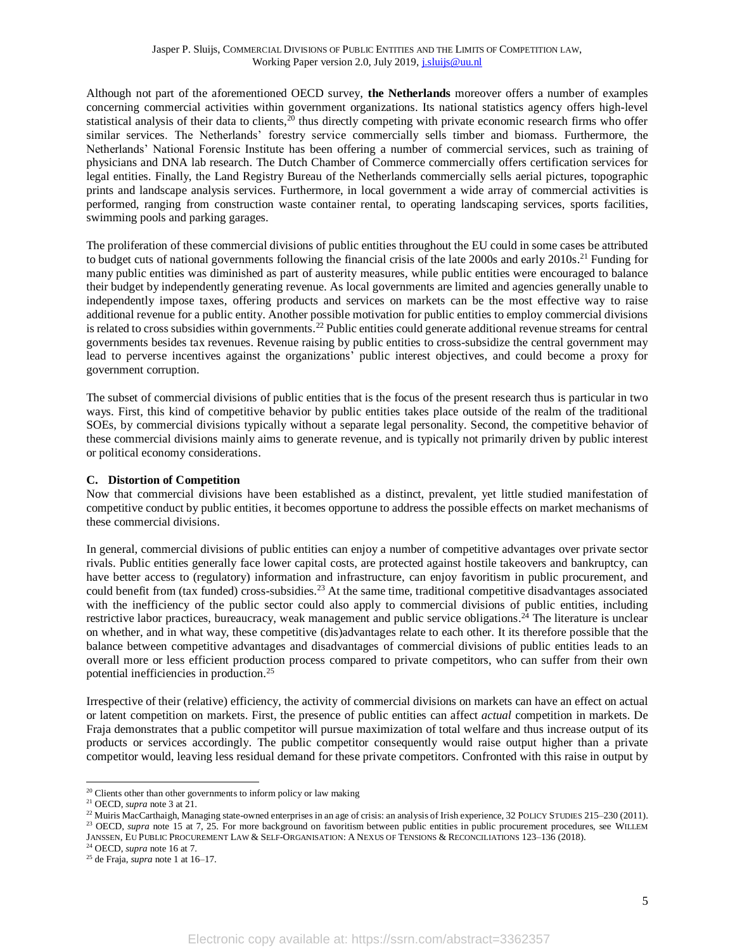Although not part of the aforementioned OECD survey, **the Netherlands** moreover offers a number of examples concerning commercial activities within government organizations. Its national statistics agency offers high-level statistical analysis of their data to clients,<sup>20</sup> thus directly competing with private economic research firms who offer similar services. The Netherlands' forestry service commercially sells timber and biomass. Furthermore, the Netherlands' National Forensic Institute has been offering a number of commercial services, such as training of physicians and DNA lab research. The Dutch Chamber of Commerce commercially offers certification services for legal entities. Finally, the Land Registry Bureau of the Netherlands commercially sells aerial pictures, topographic prints and landscape analysis services. Furthermore, in local government a wide array of commercial activities is performed, ranging from construction waste container rental, to operating landscaping services, sports facilities, swimming pools and parking garages.

The proliferation of these commercial divisions of public entities throughout the EU could in some cases be attributed to budget cuts of national governments following the financial crisis of the late 2000s and early 2010s. <sup>21</sup> Funding for many public entities was diminished as part of austerity measures, while public entities were encouraged to balance their budget by independently generating revenue. As local governments are limited and agencies generally unable to independently impose taxes, offering products and services on markets can be the most effective way to raise additional revenue for a public entity. Another possible motivation for public entities to employ commercial divisions is related to cross subsidies within governments.<sup>22</sup> Public entities could generate additional revenue streams for central governments besides tax revenues. Revenue raising by public entities to cross-subsidize the central government may lead to perverse incentives against the organizations' public interest objectives, and could become a proxy for government corruption.

The subset of commercial divisions of public entities that is the focus of the present research thus is particular in two ways. First, this kind of competitive behavior by public entities takes place outside of the realm of the traditional SOEs, by commercial divisions typically without a separate legal personality. Second, the competitive behavior of these commercial divisions mainly aims to generate revenue, and is typically not primarily driven by public interest or political economy considerations.

## <span id="page-4-0"></span>**C. Distortion of Competition**

Now that commercial divisions have been established as a distinct, prevalent, yet little studied manifestation of competitive conduct by public entities, it becomes opportune to address the possible effects on market mechanisms of these commercial divisions.

In general, commercial divisions of public entities can enjoy a number of competitive advantages over private sector rivals. Public entities generally face lower capital costs, are protected against hostile takeovers and bankruptcy, can have better access to (regulatory) information and infrastructure, can enjoy favoritism in public procurement, and could benefit from (tax funded) cross-subsidies.<sup>23</sup> At the same time, traditional competitive disadvantages associated with the inefficiency of the public sector could also apply to commercial divisions of public entities, including restrictive labor practices, bureaucracy, weak management and public service obligations.<sup>24</sup> The literature is unclear on whether, and in what way, these competitive (dis)advantages relate to each other. It its therefore possible that the balance between competitive advantages and disadvantages of commercial divisions of public entities leads to an overall more or less efficient production process compared to private competitors, who can suffer from their own potential inefficiencies in production. 25

Irrespective of their (relative) efficiency, the activity of commercial divisions on markets can have an effect on actual or latent competition on markets. First, the presence of public entities can affect *actual* competition in markets. De Fraja demonstrates that a public competitor will pursue maximization of total welfare and thus increase output of its products or services accordingly. The public competitor consequently would raise output higher than a private competitor would, leaving less residual demand for these private competitors. Confronted with this raise in output by

<sup>&</sup>lt;sup>20</sup> Clients other than other governments to inform policy or law making

<sup>21</sup> OECD, *supra* note 3 at 21.

<sup>&</sup>lt;sup>22</sup> Muiris MacCarthaigh, Managing state-owned enterprises in an age of crisis: an analysis of Irish experience, 32 POLICY STUDIES 215–230 (2011). <sup>23</sup> OECD, *supra* note 15 at 7, 25. For more background on favoritism between public entities in public procurement procedures, see WILLEM JANSSEN, EU PUBLIC PROCUREMENT LAW & SELF-ORGANISATION: A NEXUS OF TENSIONS & RECONCILIATIONS 123–136 (2018).

<sup>24</sup> OECD, *supra* note 16 at 7.

<sup>25</sup> de Fraja, *supra* note 1 at 16–17.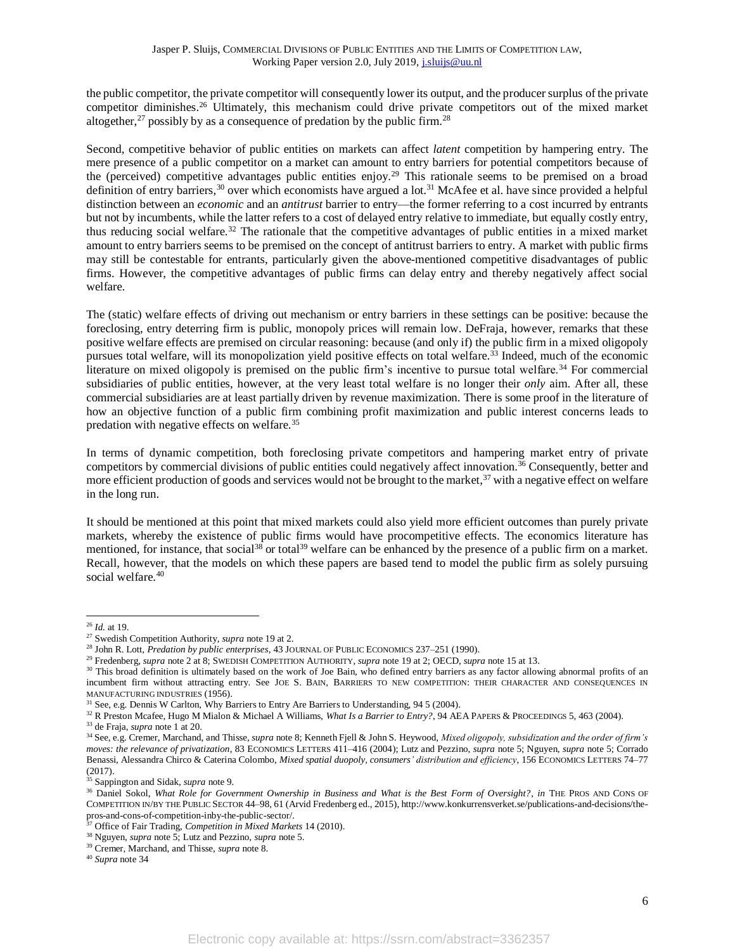the public competitor, the private competitor will consequently lower its output, and the producer surplus of the private competitor diminishes.<sup>26</sup> Ultimately, this mechanism could drive private competitors out of the mixed market altogether,<sup>27</sup> possibly by as a consequence of predation by the public firm.<sup>28</sup>

Second, competitive behavior of public entities on markets can affect *latent* competition by hampering entry. The mere presence of a public competitor on a market can amount to entry barriers for potential competitors because of the (perceived) competitive advantages public entities enjoy. <sup>29</sup> This rationale seems to be premised on a broad definition of entry barriers,<sup>30</sup> over which economists have argued a lot.<sup>31</sup> McAfee et al. have since provided a helpful distinction between an *economic* and an *antitrust* barrier to entry—the former referring to a cost incurred by entrants but not by incumbents, while the latter refers to a cost of delayed entry relative to immediate, but equally costly entry, thus reducing social welfare.<sup>32</sup> The rationale that the competitive advantages of public entities in a mixed market amount to entry barriers seems to be premised on the concept of antitrust barriers to entry. A market with public firms may still be contestable for entrants, particularly given the above-mentioned competitive disadvantages of public firms. However, the competitive advantages of public firms can delay entry and thereby negatively affect social welfare.

<span id="page-5-0"></span>The (static) welfare effects of driving out mechanism or entry barriers in these settings can be positive: because the foreclosing, entry deterring firm is public, monopoly prices will remain low. DeFraja, however, remarks that these positive welfare effects are premised on circular reasoning: because (and only if) the public firm in a mixed oligopoly pursues total welfare, will its monopolization yield positive effects on total welfare.<sup>33</sup> Indeed, much of the economic literature on mixed oligopoly is premised on the public firm's incentive to pursue total welfare.<sup>34</sup> For commercial subsidiaries of public entities, however, at the very least total welfare is no longer their *only* aim. After all, these commercial subsidiaries are at least partially driven by revenue maximization. There is some proof in the literature of how an objective function of a public firm combining profit maximization and public interest concerns leads to predation with negative effects on welfare.<sup>35</sup>

In terms of dynamic competition, both foreclosing private competitors and hampering market entry of private competitors by commercial divisions of public entities could negatively affect innovation.<sup>36</sup> Consequently, better and more efficient production of goods and services would not be brought to the market, $37$  with a negative effect on welfare in the long run.

It should be mentioned at this point that mixed markets could also yield more efficient outcomes than purely private markets, whereby the existence of public firms would have procompetitive effects. The economics literature has mentioned, for instance, that social<sup>38</sup> or total<sup>39</sup> welfare can be enhanced by the presence of a public firm on a market. Recall, however, that the models on which these papers are based tend to model the public firm as solely pursuing social welfare.<sup>40</sup>

<sup>26</sup> *Id.* at 19.

<sup>27</sup> Swedish Competition Authority, *supra* note 19 at 2.

<sup>&</sup>lt;sup>28</sup> John R. Lott, *Predation by public enterprises*, 43 JOURNAL OF PUBLIC ECONOMICS 237-251 (1990).

<sup>29</sup> Fredenberg, *supra* note 2 at 8; SWEDISH COMPETITION AUTHORITY, *supra* note 19 at 2; OECD, *supra* note 15 at 13.

<sup>&</sup>lt;sup>30</sup> This broad definition is ultimately based on the work of Joe Bain, who defined entry barriers as any factor allowing abnormal profits of an incumbent firm without attracting entry. See JOE S. BAIN, BARRIERS TO NEW COMPETITION: THEIR CHARACTER AND CONSEQUENCES IN MANUFACTURING INDUSTRIES (1956).

<sup>31</sup> See, e.g. Dennis W Carlton, Why Barriers to Entry Are Barriers to Understanding, 94 5 (2004).

<sup>&</sup>lt;sup>32</sup> R Preston Mcafee, Hugo M Mialon & Michael A Williams, *What Is a Barrier to Entry?*, 94 AEA PAPERS & PROCEEDINGS 5, 463 (2004).

<sup>33</sup> de Fraja, *supra* note 1 at 20.

<sup>34</sup> See, e.g. Cremer, Marchand, and Thisse, *supra* note 8; Kenneth Fjell & John S. Heywood, *Mixed oligopoly, subsidization and the order of firm's moves: the relevance of privatization*, 83 ECONOMICS LETTERS 411–416 (2004); Lutz and Pezzino, *supra* note 5; Nguyen, *supra* note 5; Corrado Benassi, Alessandra Chirco & Caterina Colombo, *Mixed spatial duopoly, consumers' distribution and efficiency*, 156 ECONOMICS LETTERS 74–77 (2017).

<sup>&</sup>lt;sup>35</sup> Sappington and Sidak, *supra* note 9.

<sup>36</sup> Daniel Sokol, *What Role for Government Ownership in Business and What is the Best Form of Oversight?*, *in* THE PROS AND CONS OF COMPETITION IN/BY THE PUBLIC SECTOR 44–98, 61 (Arvid Fredenberg ed., 2015), http://www.konkurrensverket.se/publications-and-decisions/thepros-and-cons-of-competition-inby-the-public-sector/.

<sup>37</sup> Office of Fair Trading, *Competition in Mixed Markets* 14 (2010).

<sup>38</sup> Nguyen, *supra* note 5; Lutz and Pezzino, *supra* note 5.

<sup>39</sup> Cremer, Marchand, and Thisse, *supra* note 8.

<sup>40</sup> *Supra* note [34](#page-5-0)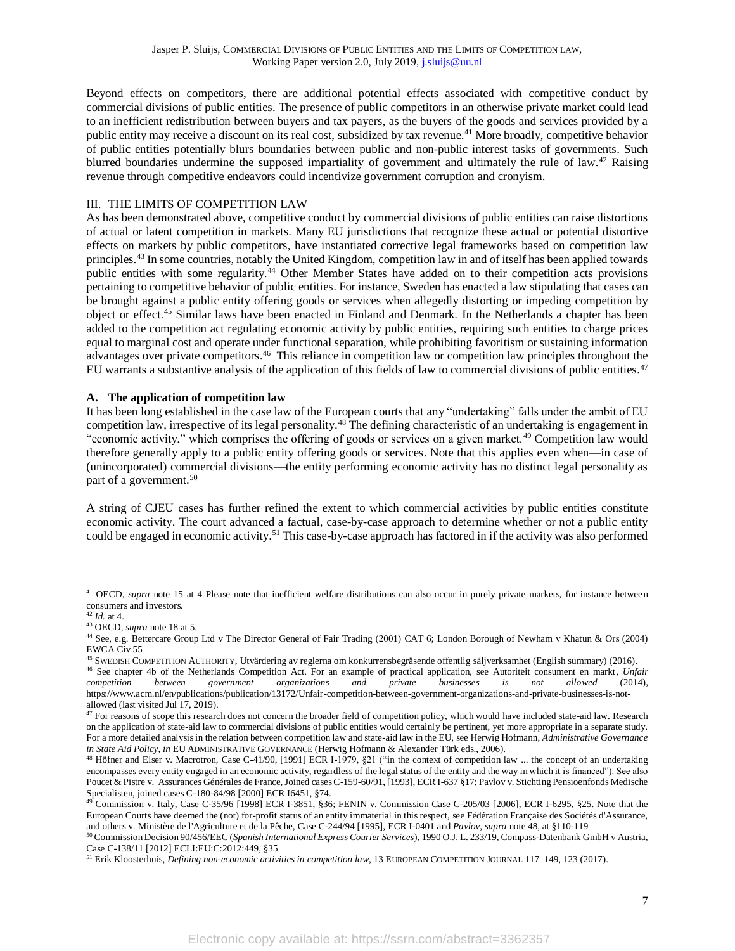Beyond effects on competitors, there are additional potential effects associated with competitive conduct by commercial divisions of public entities. The presence of public competitors in an otherwise private market could lead to an inefficient redistribution between buyers and tax payers, as the buyers of the goods and services provided by a public entity may receive a discount on its real cost, subsidized by tax revenue.<sup>41</sup> More broadly, competitive behavior of public entities potentially blurs boundaries between public and non-public interest tasks of governments. Such blurred boundaries undermine the supposed impartiality of government and ultimately the rule of law.<sup>42</sup> Raising revenue through competitive endeavors could incentivize government corruption and cronyism.

## <span id="page-6-0"></span>III. THE LIMITS OF COMPETITION LAW

As has been demonstrated above, competitive conduct by commercial divisions of public entities can raise distortions of actual or latent competition in markets. Many EU jurisdictions that recognize these actual or potential distortive effects on markets by public competitors, have instantiated corrective legal frameworks based on competition law principles.<sup>43</sup> In some countries, notably the United Kingdom, competition law in and of itself has been applied towards public entities with some regularity.<sup>44</sup> Other Member States have added on to their competition acts provisions pertaining to competitive behavior of public entities. For instance, Sweden has enacted a law stipulating that cases can be brought against a public entity offering goods or services when allegedly distorting or impeding competition by object or effect.<sup>45</sup> Similar laws have been enacted in Finland and Denmark. In the Netherlands a chapter has been added to the competition act regulating economic activity by public entities, requiring such entities to charge prices equal to marginal cost and operate under functional separation, while prohibiting favoritism or sustaining information advantages over private competitors.<sup>46</sup> This reliance in competition law or competition law principles throughout the EU warrants a substantive analysis of the application of this fields of law to commercial divisions of public entities.<sup>47</sup>

#### <span id="page-6-1"></span>**A. The application of competition law**

<span id="page-6-2"></span>It has been long established in the case law of the European courts that any "undertaking" falls under the ambit of EU competition law, irrespective of its legal personality.<sup>48</sup> The defining characteristic of an undertaking is engagement in "economic activity," which comprises the offering of goods or services on a given market.<sup>49</sup> Competition law would therefore generally apply to a public entity offering goods or services. Note that this applies even when—in case of (unincorporated) commercial divisions—the entity performing economic activity has no distinct legal personality as part of a government.<sup>50</sup>

<span id="page-6-3"></span>A string of CJEU cases has further refined the extent to which commercial activities by public entities constitute economic activity. The court advanced a factual, case-by-case approach to determine whether or not a public entity could be engaged in economic activity.<sup>51</sup> This case-by-case approach has factored in if the activity was also performed

<sup>&</sup>lt;sup>41</sup> OECD, *supra* note 15 at 4 Please note that inefficient welfare distributions can also occur in purely private markets, for instance between consumers and investors.

<sup>42</sup> *Id.* at 4.

<sup>43</sup> OECD, *supra* note 18 at 5.

<sup>44</sup> See, e.g. Bettercare Group Ltd v The Director General of Fair Trading (2001) CAT 6; London Borough of Newham v Khatun & Ors (2004) EWCA Civ 55

<sup>45</sup> SWEDISH COMPETITION AUTHORITY, Utvärdering av reglerna om konkurrensbegräsende offentlig säljverksamhet (English summary) (2016).

<sup>46</sup> See chapter 4b of the Netherlands Competition Act. For an example of practical application, see Autoriteit consument en markt, *Unfair competition between government organizations and private businesses is not allowed* (2014), https://www.acm.nl/en/publications/publication/13172/Unfair-competition-between-government-organizations-and-private-businesses-is-notallowed (last visited Jul 17, 2019).

<sup>&</sup>lt;sup>47</sup> For reasons of scope this research does not concern the broader field of competition policy, which would have included state-aid law. Research on the application of state-aid law to commercial divisions of public entities would certainly be pertinent, yet more appropriate in a separate study. For a more detailed analysis in the relation between competition law and state-aid law in the EU, see Herwig Hofmann, *Administrative Governance in State Aid Policy*, *in* EU ADMINISTRATIVE GOVERNANCE (Herwig Hofmann & Alexander Türk eds., 2006).

<sup>&</sup>lt;sup>48</sup> Höfner and Elser v. Macrotron, Case C-41/90, [1991] ECR I-1979, §21 ("in the context of competition law ... the concept of an undertaking encompasses every entity engaged in an economic activity, regardless of the legal status of the entity and the way in which it is financed"). See also Poucet & Pistre v. Assurances Générales de France, Joined cases C-159-60/91, [1993], ECR I-637 §17; Pavlov v. Stichting Pensioenfonds Medische Specialisten, joined cases C-180-84/98 [2000] ECR I6451, §74.

<sup>49</sup> Commission v. Italy, Case C-35/96 [1998] ECR I-3851, §36; FENIN v. Commission Case C-205/03 [2006], ECR I-6295, §25. Note that the European Courts have deemed the (not) for-profit status of an entity immaterial in this respect, see Fédération Française des Sociétés d'Assurance, and others v. Ministère de l'Agriculture et de la Pêche, Case C-244/94 [1995], ECR I-0401 and *Pavlov*, *supra* note [48,](#page-6-2) at §110-119

<sup>50</sup> Commission Decision 90/456/EEC (*Spanish International Express Courier Services*), 1990 O.J. L. 233/19, Compass-Datenbank GmbH v Austria, Case C-138/11 [2012] ECLI:EU:C:2012:449, §35

<sup>51</sup> Erik Kloosterhuis, *Defining non-economic activities in competition law*, 13 EUROPEAN COMPETITION JOURNAL 117–149, 123 (2017).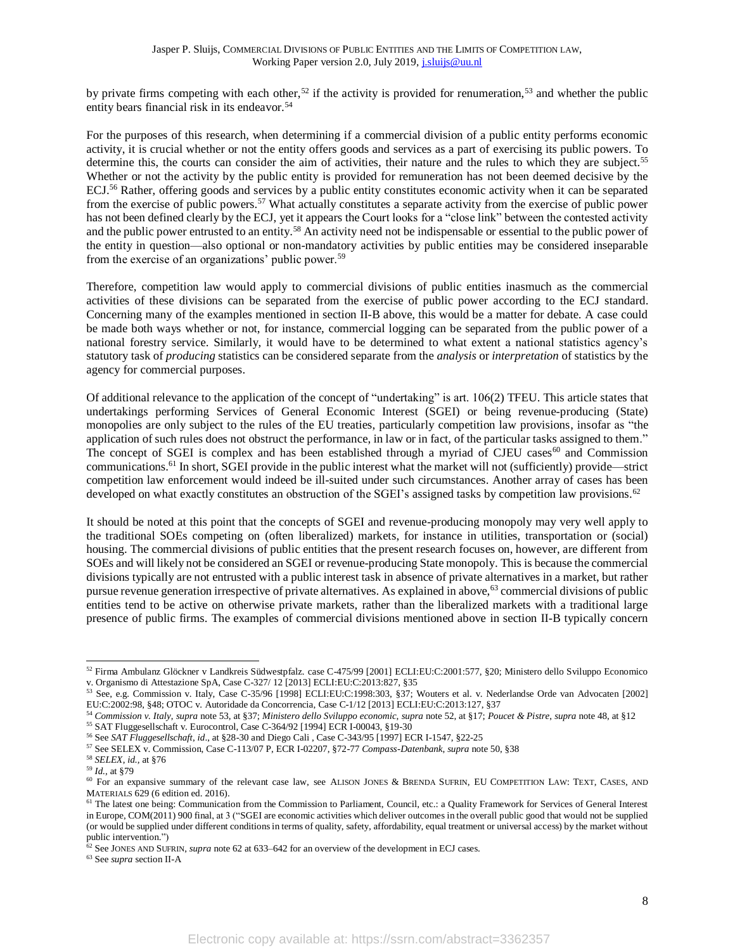<span id="page-7-1"></span><span id="page-7-0"></span>by private firms competing with each other,<sup>52</sup> if the activity is provided for renumeration,<sup>53</sup> and whether the public entity bears financial risk in its endeavor.<sup>54</sup>

<span id="page-7-3"></span><span id="page-7-2"></span>For the purposes of this research, when determining if a commercial division of a public entity performs economic activity, it is crucial whether or not the entity offers goods and services as a part of exercising its public powers. To determine this, the courts can consider the aim of activities, their nature and the rules to which they are subject.<sup>55</sup> Whether or not the activity by the public entity is provided for remuneration has not been deemed decisive by the ECJ.<sup>56</sup> Rather, offering goods and services by a public entity constitutes economic activity when it can be separated from the exercise of public powers.<sup>57</sup> What actually constitutes a separate activity from the exercise of public power has not been defined clearly by the ECJ, yet it appears the Court looks for a "close link" between the contested activity and the public power entrusted to an entity.<sup>58</sup> An activity need not be indispensable or essential to the public power of the entity in question—also optional or non-mandatory activities by public entities may be considered inseparable from the exercise of an organizations' public power.<sup>59</sup>

Therefore, competition law would apply to commercial divisions of public entities inasmuch as the commercial activities of these divisions can be separated from the exercise of public power according to the ECJ standard. Concerning many of the examples mentioned in section [II-](#page-1-1)[B](#page-3-0) above, this would be a matter for debate. A case could be made both ways whether or not, for instance, commercial logging can be separated from the public power of a national forestry service. Similarly, it would have to be determined to what extent a national statistics agency's statutory task of *producing* statistics can be considered separate from the *analysis* or *interpretation* of statistics by the agency for commercial purposes.

Of additional relevance to the application of the concept of "undertaking" is art. 106(2) TFEU. This article states that undertakings performing Services of General Economic Interest (SGEI) or being revenue-producing (State) monopolies are only subject to the rules of the EU treaties, particularly competition law provisions, insofar as "the application of such rules does not obstruct the performance, in law or in fact, of the particular tasks assigned to them." The concept of SGEI is complex and has been established through a myriad of CJEU cases<sup>60</sup> and Commission communications.<sup>61</sup> In short, SGEI provide in the public interest what the market will not (sufficiently) provide—strict competition law enforcement would indeed be ill-suited under such circumstances. Another array of cases has been developed on what exactly constitutes an obstruction of the SGEI's assigned tasks by competition law provisions.<sup>62</sup>

<span id="page-7-4"></span>It should be noted at this point that the concepts of SGEI and revenue-producing monopoly may very well apply to the traditional SOEs competing on (often liberalized) markets, for instance in utilities, transportation or (social) housing. The commercial divisions of public entities that the present research focuses on, however, are different from SOEs and will likely not be considered an SGEI or revenue-producing State monopoly. This is because the commercial divisions typically are not entrusted with a public interest task in absence of private alternatives in a market, but rather pursue revenue generation irrespective of private alternatives. As explained in above,<sup>63</sup> commercial divisions of public entities tend to be active on otherwise private markets, rather than the liberalized markets with a traditional large presence of public firms. The examples of commercial divisions mentioned above in section [II-](#page-1-1)[B](#page-3-0) typically concern

<sup>52</sup> Firma Ambulanz Glöckner v Landkreis Südwestpfalz. case C-475/99 [2001] ECLI:EU:C:2001:577, §20; Ministero dello Sviluppo Economico v. Organismo di Attestazione SpA, Case C-327/ 12 [2013] ECLI:EU:C:2013:827, §35

<sup>53</sup> See, e.g. Commission v. Italy, Case C-35/96 [1998] ECLI:EU:C:1998:303, §37; Wouters et al. v. Nederlandse Orde van Advocaten [2002] EU:C:2002:98, §48; OTOC v. Autoridade da Concorrencia, Case C-1/12 [2013] ECLI:EU:C:2013:127, §37

<sup>54</sup> *Commission v. Italy*, *supra* note [53,](#page-7-0) at §37; *Ministero dello Sviluppo economic*, *supra* not[e 52,](#page-7-1) at §17; *Poucet & Pistre*, *supra* note [48,](#page-6-2) at §12 <sup>55</sup> SAT Fluggesellschaft v. Eurocontrol, Case C-364/92 [1994] ECR I-00043, §19-30

<sup>56</sup> See *SAT Fluggesellschaft*, *id*., at §28-30 and Diego Cali , Case C-343/95 [1997] ECR I-1547, §22-25

<sup>57</sup> See SELEX v. Commission, Case C-113/07 P, ECR I-02207, §72-77 *Compass-Datenbank*, *supra* note [50,](#page-6-3) §38

<sup>58</sup> *SELEX*, *id.,* at §76

<sup>59</sup> *Id.,* at §79

<sup>60</sup> For an expansive summary of the relevant case law, see ALISON JONES & BRENDA SUFRIN, EU COMPETITION LAW: TEXT, CASES, AND MATERIALS 629 (6 edition ed. 2016).

<sup>&</sup>lt;sup>61</sup> The latest one being: Communication from the Commission to Parliament, Council, etc.: a Quality Framework for Services of General Interest in Europe, COM(2011) 900 final, at 3 ("SGEI are economic activities which deliver outcomes in the overall public good that would not be supplied (or would be supplied under different conditions in terms of quality, safety, affordability, equal treatment or universal access) by the market without public intervention.")

 $62$  See JONES AND SUFRIN, *supra* note 62 at 633–642 for an overview of the development in ECJ cases.

<sup>63</sup> See *supra* sectio[n II](#page-1-1)[-A](#page-1-2)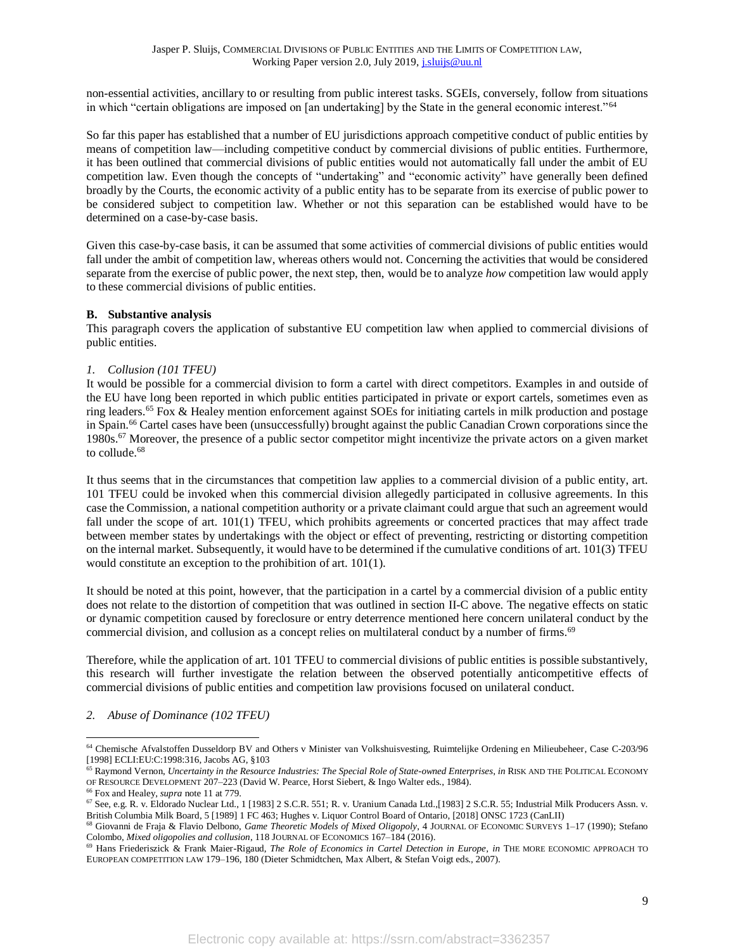non-essential activities, ancillary to or resulting from public interest tasks. SGEIs, conversely, follow from situations in which "certain obligations are imposed on [an undertaking] by the State in the general economic interest."<sup>64</sup>

So far this paper has established that a number of EU jurisdictions approach competitive conduct of public entities by means of competition law—including competitive conduct by commercial divisions of public entities. Furthermore, it has been outlined that commercial divisions of public entities would not automatically fall under the ambit of EU competition law. Even though the concepts of "undertaking" and "economic activity" have generally been defined broadly by the Courts, the economic activity of a public entity has to be separate from its exercise of public power to be considered subject to competition law. Whether or not this separation can be established would have to be determined on a case-by-case basis.

Given this case-by-case basis, it can be assumed that some activities of commercial divisions of public entities would fall under the ambit of competition law, whereas others would not. Concerning the activities that would be considered separate from the exercise of public power, the next step, then, would be to analyze *how* competition law would apply to these commercial divisions of public entities.

#### <span id="page-8-0"></span>**B. Substantive analysis**

This paragraph covers the application of substantive EU competition law when applied to commercial divisions of public entities.

#### <span id="page-8-1"></span>*1. Collusion (101 TFEU)*

It would be possible for a commercial division to form a cartel with direct competitors. Examples in and outside of the EU have long been reported in which public entities participated in private or export cartels, sometimes even as ring leaders.<sup>65</sup> Fox & Healey mention enforcement against SOEs for initiating cartels in milk production and postage in Spain. <sup>66</sup> Cartel cases have been (unsuccessfully) brought against the public Canadian Crown corporations since the 1980s.<sup>67</sup> Moreover, the presence of a public sector competitor might incentivize the private actors on a given market to collude. 68

It thus seems that in the circumstances that competition law applies to a commercial division of a public entity, art. 101 TFEU could be invoked when this commercial division allegedly participated in collusive agreements. In this case the Commission, a national competition authority or a private claimant could argue that such an agreement would fall under the scope of art. 101(1) TFEU, which prohibits agreements or concerted practices that may affect trade between member states by undertakings with the object or effect of preventing, restricting or distorting competition on the internal market. Subsequently, it would have to be determined if the cumulative conditions of art. 101(3) TFEU would constitute an exception to the prohibition of art. 101(1).

It should be noted at this point, however, that the participation in a cartel by a commercial division of a public entity does not relate to the distortion of competition that was outlined in section [II-](#page-1-1)[C](#page-4-0) above. The negative effects on static or dynamic competition caused by foreclosure or entry deterrence mentioned here concern unilateral conduct by the commercial division, and collusion as a concept relies on multilateral conduct by a number of firms.<sup>69</sup>

Therefore, while the application of art. 101 TFEU to commercial divisions of public entities is possible substantively, this research will further investigate the relation between the observed potentially anticompetitive effects of commercial divisions of public entities and competition law provisions focused on unilateral conduct.

#### <span id="page-8-2"></span>*2. Abuse of Dominance (102 TFEU)*

<sup>64</sup> Chemische Afvalstoffen Dusseldorp BV and Others v Minister van Volkshuisvesting, Ruimtelijke Ordening en Milieubeheer, Case C-203/96 [1998] ECLI:EU:C:1998:316, Jacobs AG, §103

<sup>65</sup> Raymond Vernon, *Uncertainty in the Resource Industries: The Special Role of State-owned Enterprises*, *in* RISK AND THE POLITICAL ECONOMY OF RESOURCE DEVELOPMENT 207–223 (David W. Pearce, Horst Siebert, & Ingo Walter eds., 1984).

<sup>66</sup> Fox and Healey, *supra* note 11 at 779.

<sup>67</sup> See, e.g. R. v. Eldorado Nuclear Ltd., 1 [1983] 2 S.C.R. 551; R. v. Uranium Canada Ltd.,[1983] 2 S.C.R. 55; Industrial Milk Producers Assn. v. British Columbia Milk Board, 5 [1989] 1 FC 463; Hughes v. Liquor Control Board of Ontario, [2018] ONSC 1723 (CanLII)

<sup>68</sup> Giovanni de Fraja & Flavio Delbono, *Game Theoretic Models of Mixed Oligopoly*, 4 JOURNAL OF ECONOMIC SURVEYS 1–17 (1990); Stefano Colombo, *Mixed oligopolies and collusion*, 118 JOURNAL OF ECONOMICS 167–184 (2016).

<sup>69</sup> Hans Friederiszick & Frank Maier-Rigaud, *The Role of Economics in Cartel Detection in Europe*, *in* THE MORE ECONOMIC APPROACH TO EUROPEAN COMPETITION LAW 179–196, 180 (Dieter Schmidtchen, Max Albert, & Stefan Voigt eds., 2007).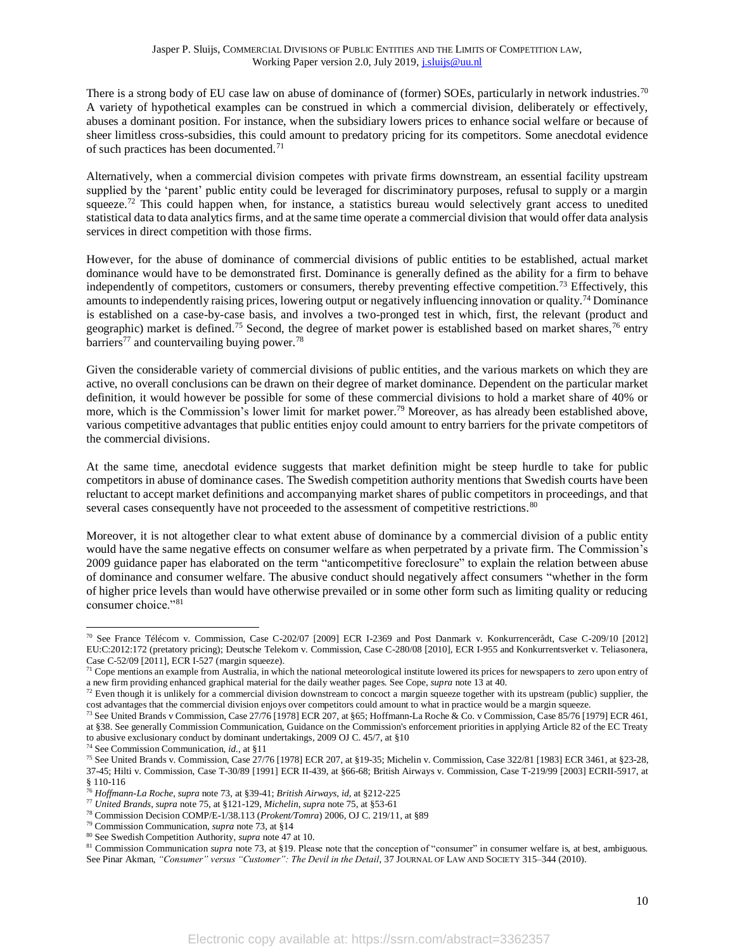<span id="page-9-2"></span>There is a strong body of EU case law on abuse of dominance of (former) SOEs, particularly in network industries.<sup>70</sup> A variety of hypothetical examples can be construed in which a commercial division, deliberately or effectively, abuses a dominant position. For instance, when the subsidiary lowers prices to enhance social welfare or because of sheer limitless cross-subsidies, this could amount to predatory pricing for its competitors. Some anecdotal evidence of such practices has been documented.<sup>71</sup>

Alternatively, when a commercial division competes with private firms downstream, an essential facility upstream supplied by the 'parent' public entity could be leveraged for discriminatory purposes, refusal to supply or a margin squeeze.<sup>72</sup> This could happen when, for instance, a statistics bureau would selectively grant access to unedited statistical data to data analytics firms, and at the same time operate a commercial division that would offer data analysis services in direct competition with those firms.

<span id="page-9-0"></span>However, for the abuse of dominance of commercial divisions of public entities to be established, actual market dominance would have to be demonstrated first. Dominance is generally defined as the ability for a firm to behave independently of competitors, customers or consumers, thereby preventing effective competition.<sup>73</sup> Effectively, this amounts to independently raising prices, lowering output or negatively influencing innovation or quality.<sup>74</sup> Dominance is established on a case-by-case basis, and involves a two-pronged test in which, first, the relevant (product and geographic) market is defined.<sup>75</sup> Second, the degree of market power is established based on market shares,<sup>76</sup> entry barriers<sup>77</sup> and countervailing buying power.<sup>78</sup>

<span id="page-9-1"></span>Given the considerable variety of commercial divisions of public entities, and the various markets on which they are active, no overall conclusions can be drawn on their degree of market dominance. Dependent on the particular market definition, it would however be possible for some of these commercial divisions to hold a market share of 40% or more, which is the Commission's lower limit for market power.<sup>79</sup> Moreover, as has already been established above, various competitive advantages that public entities enjoy could amount to entry barriers for the private competitors of the commercial divisions.

At the same time, anecdotal evidence suggests that market definition might be steep hurdle to take for public competitors in abuse of dominance cases. The Swedish competition authority mentions that Swedish courts have been reluctant to accept market definitions and accompanying market shares of public competitors in proceedings, and that several cases consequently have not proceeded to the assessment of competitive restrictions.<sup>80</sup>

Moreover, it is not altogether clear to what extent abuse of dominance by a commercial division of a public entity would have the same negative effects on consumer welfare as when perpetrated by a private firm. The Commission's 2009 guidance paper has elaborated on the term "anticompetitive foreclosure" to explain the relation between abuse of dominance and consumer welfare. The abusive conduct should negatively affect consumers "whether in the form of higher price levels than would have otherwise prevailed or in some other form such as limiting quality or reducing consumer choice."<sup>81</sup>

<sup>70</sup> See France Télécom v. Commission, Case C-202/07 [2009] ECR I-2369 and Post Danmark v. Konkurrencerådt, Case C-209/10 [2012] EU:C:2012:172 (pretatory pricing); Deutsche Telekom v. Commission, Case C-280/08 [2010], ECR I-955 and Konkurrentsverket v. Teliasonera, Case C-52/09 [2011], ECR I-527 (margin squeeze).

 $71$  Cope mentions an example from Australia, in which the national meteorological institute lowered its prices for newspapers to zero upon entry of a new firm providing enhanced graphical material for the daily weather pages. See Cope, *supra* note 13 at 40.

<sup>&</sup>lt;sup>72</sup> Even though it is unlikely for a commercial division downstream to concoct a margin squeeze together with its upstream (public) supplier, the cost advantages that the commercial division enjoys over competitors could amount to what in practice would be a margin squeeze.

<sup>&</sup>lt;sup>73</sup> See United Brands v Commission, Case 27/76 [1978] ECR 207, at §65; Hoffmann-La Roche & Co. v Commission, Case 85/76 [1979] ECR 461, at §38. See generally Commission Communication, Guidance on the Commission's enforcement priorities in applying Article 82 of the EC Treaty to abusive exclusionary conduct by dominant undertakings, 2009 OJ C. 45/7, at §10

<sup>74</sup> See Commission Communication, *id.,* at §11

<sup>75</sup> See United Brands v. Commission, Case 27/76 [1978] ECR 207, at §19-35; Michelin v. Commission, Case 322/81 [1983] ECR 3461, at §23-28, 37-45; Hilti v. Commission, Case T-30/89 [1991] ECR II-439, at §66-68; British Airways v. Commission, Case T-219/99 [2003] ECRII-5917, at § 110-116

<sup>76</sup> *Hoffmann-La Roche*, *supra* note [73,](#page-9-0) at §39-41; *British Airways*, *id*, at §212-225

<sup>77</sup> *United Brands*, *supra* note [75,](#page-9-1) at §121-129, *Michelin*, *supra* note [75,](#page-9-1) at §53-61

<sup>78</sup> Commission Decision COMP/E-1/38.113 (*Prokent/Tomra*) 2006, OJ C. 219/11, at §89

<sup>79</sup> Commission Communication, *supra* note [73,](#page-9-0) at §14

<sup>80</sup> See Swedish Competition Authority, *supra* note 47 at 10.

<sup>&</sup>lt;sup>81</sup> Commission Communication *supra* note [73,](#page-9-0) at §19. Please note that the conception of "consumer" in consumer welfare is, at best, ambiguous. See Pinar Akman, "Consumer" versus "Customer": The Devil in the Detail, 37 JOURNAL OF LAW AND SOCIETY 315-344 (2010).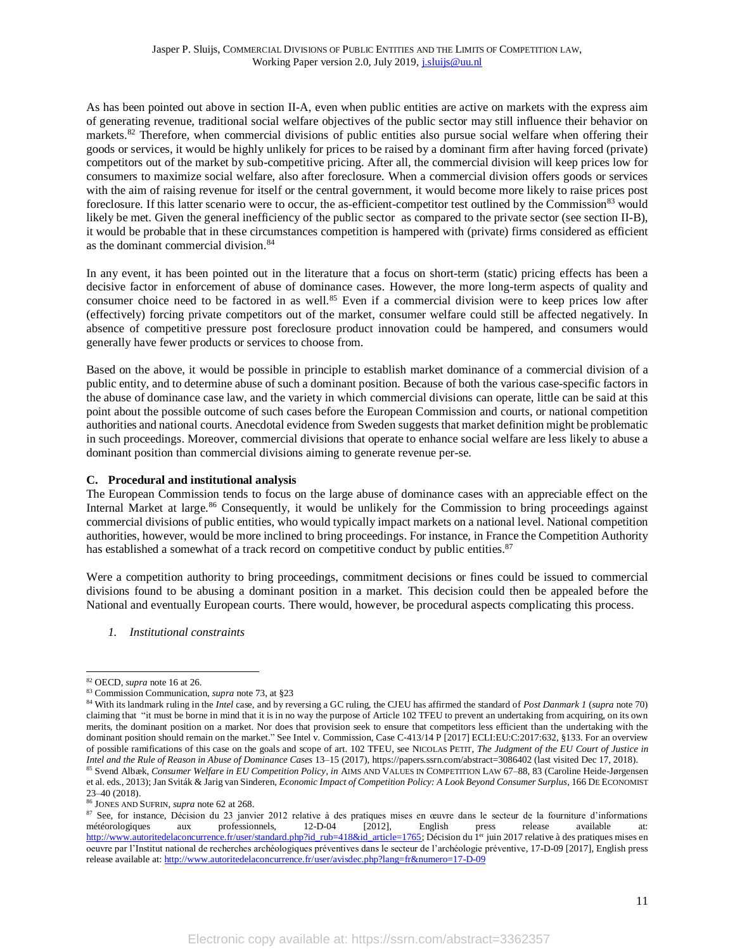As has been pointed out above in section [II-](#page-1-1)[A,](#page-1-2) even when public entities are active on markets with the express aim of generating revenue, traditional social welfare objectives of the public sector may still influence their behavior on markets.<sup>82</sup> Therefore, when commercial divisions of public entities also pursue social welfare when offering their goods or services, it would be highly unlikely for prices to be raised by a dominant firm after having forced (private) competitors out of the market by sub-competitive pricing. After all, the commercial division will keep prices low for consumers to maximize social welfare, also after foreclosure. When a commercial division offers goods or services with the aim of raising revenue for itself or the central government, it would become more likely to raise prices post foreclosure. If this latter scenario were to occur, the as-efficient-competitor test outlined by the Commission<sup>83</sup> would likely be met. Given the general inefficiency of the public sector as compared to the private sector (see section [II](#page-1-1)[-B\)](#page-3-0), it would be probable that in these circumstances competition is hampered with (private) firms considered as efficient as the dominant commercial division. 84

In any event, it has been pointed out in the literature that a focus on short-term (static) pricing effects has been a decisive factor in enforcement of abuse of dominance cases. However, the more long-term aspects of quality and consumer choice need to be factored in as well.<sup>85</sup> Even if a commercial division were to keep prices low after (effectively) forcing private competitors out of the market, consumer welfare could still be affected negatively. In absence of competitive pressure post foreclosure product innovation could be hampered, and consumers would generally have fewer products or services to choose from.

Based on the above, it would be possible in principle to establish market dominance of a commercial division of a public entity, and to determine abuse of such a dominant position. Because of both the various case-specific factors in the abuse of dominance case law, and the variety in which commercial divisions can operate, little can be said at this point about the possible outcome of such cases before the European Commission and courts, or national competition authorities and national courts. Anecdotal evidence from Sweden suggests that market definition might be problematic in such proceedings. Moreover, commercial divisions that operate to enhance social welfare are less likely to abuse a dominant position than commercial divisions aiming to generate revenue per-se.

# <span id="page-10-0"></span>**C. Procedural and institutional analysis**

The European Commission tends to focus on the large abuse of dominance cases with an appreciable effect on the Internal Market at large.<sup>86</sup> Consequently, it would be unlikely for the Commission to bring proceedings against commercial divisions of public entities, who would typically impact markets on a national level. National competition authorities, however, would be more inclined to bring proceedings. For instance, in France the Competition Authority has established a somewhat of a track record on competitive conduct by public entities.<sup>87</sup>

Were a competition authority to bring proceedings, commitment decisions or fines could be issued to commercial divisions found to be abusing a dominant position in a market. This decision could then be appealed before the National and eventually European courts. There would, however, be procedural aspects complicating this process.

<span id="page-10-1"></span>*1. Institutional constraints*

<sup>82</sup> OECD, *supra* note 16 at 26.

<sup>83</sup> Commission Communication, *supra* note [73,](#page-9-0) at §23

<sup>84</sup> With its landmark ruling in the *Intel* case, and by reversing a GC ruling, the CJEU has affirmed the standard of *Post Danmark 1* (*supra* not[e 70\)](#page-9-2) claiming that "it must be borne in mind that it is in no way the purpose of Article 102 TFEU to prevent an undertaking from acquiring, on its own merits, the dominant position on a market. Nor does that provision seek to ensure that competitors less efficient than the undertaking with the dominant position should remain on the market." See Intel v. Commission, Case C-413/14 P [2017] ECLI:EU:C:2017:632, §133. For an overview of possible ramifications of this case on the goals and scope of art. 102 TFEU, see NICOLAS PETIT, *The Judgment of the EU Court of Justice in Intel and the Rule of Reason in Abuse of Dominance Cases* 13–15 (2017), https://papers.ssrn.com/abstract=3086402 (last visited Dec 17, 2018). <sup>85</sup> Svend Albæk, *Consumer Welfare in EU Competition Policy*, *in* AIMS AND VALUES IN COMPETITION LAW 67–88, 83 (Caroline Heide-Jørgensen

et al. eds., 2013); Jan Sviták & Jarig van Sinderen, *Economic Impact of Competition Policy: A Look Beyond Consumer Surplus*, 166 DE ECONOMIST 23–40 (2018).

<sup>86</sup> JONES AND SUFRIN, *supra* note 62 at 268.

<sup>&</sup>lt;sup>87</sup> See, for instance, Décision du 23 janvier 2012 relative à des pratiques mises en œuvre dans le secteur de la fourniture d'informations météorologiques aux professionnels, 12-D-04 [2012], English press release availabl météorologiques aux professionnels, 12-D-04 [2012], English press release available at: [http://www.autoritedelaconcurrence.fr/user/standard.php?id\\_rub=418&id\\_article=1765;](http://www.autoritedelaconcurrence.fr/user/standard.php?id_rub=418&id_article=1765) Décision du 1<sup>er</sup> juin 2017 relative à des pratiques mises en oeuvre par l'Institut national de recherches archéologiques préventives dans le secteur de l'archéologie préventive, 17-D-09 [2017], English press release available at:<http://www.autoritedelaconcurrence.fr/user/avisdec.php?lang=fr&numero=17-D-09>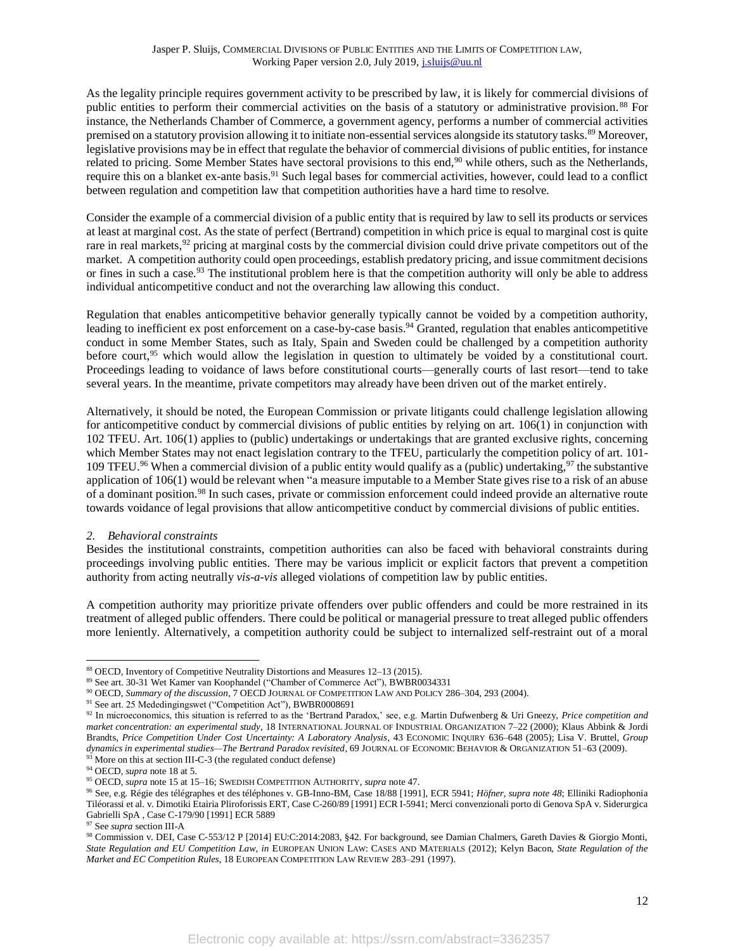As the legality principle requires government activity to be prescribed by law, it is likely for commercial divisions of public entities to perform their commercial activities on the basis of a statutory or administrative provision. <sup>88</sup> For instance, the Netherlands Chamber of Commerce, a government agency, performs a number of commercial activities premised on a statutory provision allowing it to initiate non-essential services alongside its statutory tasks.<sup>89</sup> Moreover, legislative provisions may be in effect that regulate the behavior of commercial divisions of public entities, for instance related to pricing. Some Member States have sectoral provisions to this end,<sup>90</sup> while others, such as the Netherlands, require this on a blanket ex-ante basis.<sup>91</sup> Such legal bases for commercial activities, however, could lead to a conflict between regulation and competition law that competition authorities have a hard time to resolve.

Consider the example of a commercial division of a public entity that is required by law to sell its products or services at least at marginal cost. As the state of perfect (Bertrand) competition in which price is equal to marginal cost is quite rare in real markets,<sup>92</sup> pricing at marginal costs by the commercial division could drive private competitors out of the market. A competition authority could open proceedings, establish predatory pricing, and issue commitment decisions or fines in such a case.<sup>93</sup> The institutional problem here is that the competition authority will only be able to address individual anticompetitive conduct and not the overarching law allowing this conduct.

Regulation that enables anticompetitive behavior generally typically cannot be voided by a competition authority, leading to inefficient ex post enforcement on a case-by-case basis.<sup>94</sup> Granted, regulation that enables anticompetitive conduct in some Member States, such as Italy, Spain and Sweden could be challenged by a competition authority before court,<sup>95</sup> which would allow the legislation in question to ultimately be voided by a constitutional court. Proceedings leading to voidance of laws before constitutional courts—generally courts of last resort—tend to take several years. In the meantime, private competitors may already have been driven out of the market entirely.

Alternatively, it should be noted, the European Commission or private litigants could challenge legislation allowing for anticompetitive conduct by commercial divisions of public entities by relying on art. 106(1) in conjunction with 102 TFEU. Art. 106(1) applies to (public) undertakings or undertakings that are granted exclusive rights, concerning which Member States may not enact legislation contrary to the TFEU, particularly the competition policy of art. 101- 109 TFEU.<sup>96</sup> When a commercial division of a public entity would qualify as a (public) undertaking,  $97$  the substantive application of 106(1) would be relevant when "a measure imputable to a Member State gives rise to a risk of an abuse of a dominant position. <sup>98</sup> In such cases, private or commission enforcement could indeed provide an alternative route towards voidance of legal provisions that allow anticompetitive conduct by commercial divisions of public entities.

# <span id="page-11-0"></span>*2. Behavioral constraints*

Besides the institutional constraints, competition authorities can also be faced with behavioral constraints during proceedings involving public entities. There may be various implicit or explicit factors that prevent a competition authority from acting neutrally *vis-a-vis* alleged violations of competition law by public entities.

A competition authority may prioritize private offenders over public offenders and could be more restrained in its treatment of alleged public offenders. There could be political or managerial pressure to treat alleged public offenders more leniently. Alternatively, a competition authority could be subject to internalized self-restraint out of a moral

<sup>88</sup> OECD, Inventory of Competitive Neutrality Distortions and Measures 12–13 (2015).

<sup>89</sup> See art. 30-31 Wet Kamer van Koophandel ("Chamber of Commerce Act"), BWBR0034331

<sup>90</sup> OECD, *Summary of the discussion*, 7 OECD JOURNAL OF COMPETITION LAW AND POLICY 286–304, 293 (2004).

<sup>91</sup> See art. 25 Mededingingswet ("Competition Act"), BWBR0008691

<sup>92</sup> In microeconomics, this situation is referred to as the 'Bertrand Paradox,' see, e.g. Martin Dufwenberg & Uri Gneezy, *Price competition and market concentration: an experimental study*, 18 INTERNATIONAL JOURNAL OF INDUSTRIAL ORGANIZATION 7–22 (2000); Klaus Abbink & Jordi Brandts, *Price Competition Under Cost Uncertainty: A Laboratory Analysis*, 43 ECONOMIC INQUIRY 636–648 (2005); Lisa V. Bruttel, *Group dynamics in experimental studies—The Bertrand Paradox revisited*, 69 JOURNAL OF ECONOMIC BEHAVIOR & ORGANIZATION 51–63 (2009).  $\frac{93}{93}$  $\frac{93}{93}$  $\frac{93}{93}$  More on this at sectio[n III-](#page-6-0)[C-](#page-10-0)3 (the regulated conduct defense)

<sup>94</sup> OECD, *supra* note 18 at 5.

<sup>95</sup> OECD, *supra* note 15 at 15–16; SWEDISH COMPETITION AUTHORITY, *supra* note 47.

<sup>96</sup> See, e.g. Régie des télégraphes et des téléphones v. GB-Inno-BM, Case 18/88 [1991], ECR 5941; *Höfner, supra note [48](#page-6-2)*; Elliniki Radiophonia Tiléorassi et al. v. Dimotiki Etairia Pliroforissis ERT, Case C-260/89 [1991] ECR I-5941; Merci convenzionali porto di Genova SpA v. Siderurgica Gabrielli SpA , Case C-179/90 [1991] ECR 5889

<sup>97</sup> See *supra* sectio[n III-](#page-6-0)[A](#page-6-1)

<sup>98</sup> Commission v. DEI, Case C‑553/12 P [2014] EU:C:2014:2083, §42. For background, see Damian Chalmers, Gareth Davies & Giorgio Monti, *State Regulation and EU Competition Law*, *in* EUROPEAN UNION LAW: CASES AND MATERIALS (2012); Kelyn Bacon, *State Regulation of the Market and EC Competition Rules*, 18 EUROPEAN COMPETITION LAW REVIEW 283–291 (1997).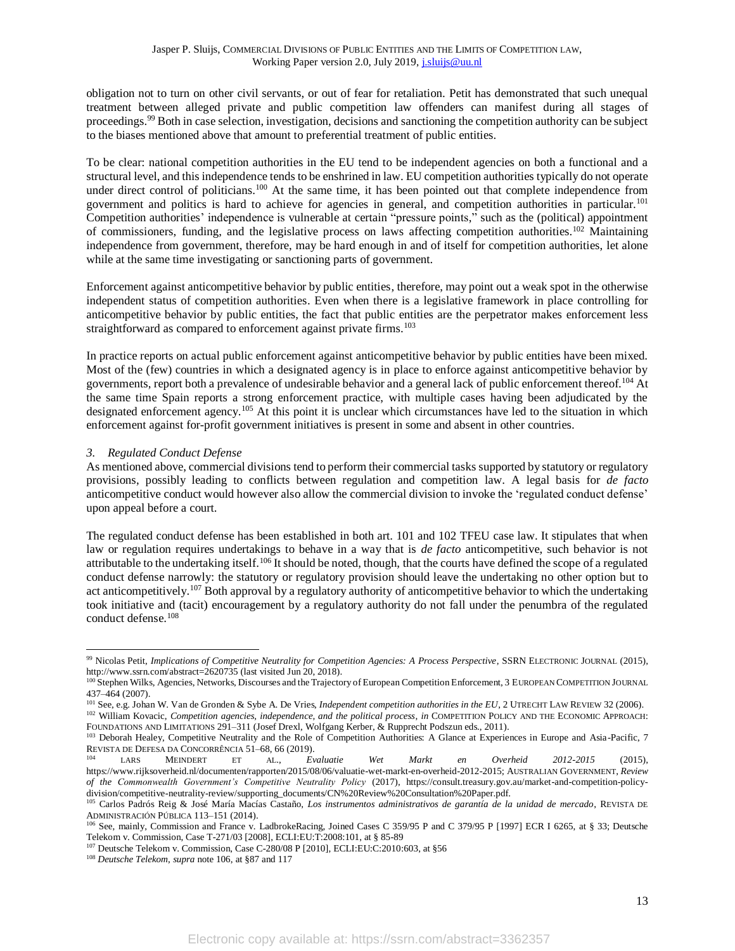obligation not to turn on other civil servants, or out of fear for retaliation. Petit has demonstrated that such unequal treatment between alleged private and public competition law offenders can manifest during all stages of proceedings.<sup>99</sup> Both in case selection, investigation, decisions and sanctioning the competition authority can be subject to the biases mentioned above that amount to preferential treatment of public entities.

To be clear: national competition authorities in the EU tend to be independent agencies on both a functional and a structural level, and this independence tends to be enshrined in law. EU competition authorities typically do not operate under direct control of politicians.<sup>100</sup> At the same time, it has been pointed out that complete independence from government and politics is hard to achieve for agencies in general, and competition authorities in particular.<sup>101</sup> Competition authorities' independence is vulnerable at certain "pressure points," such as the (political) appointment of commissioners, funding, and the legislative process on laws affecting competition authorities.<sup>102</sup> Maintaining independence from government, therefore, may be hard enough in and of itself for competition authorities, let alone while at the same time investigating or sanctioning parts of government.

Enforcement against anticompetitive behavior by public entities, therefore, may point out a weak spot in the otherwise independent status of competition authorities. Even when there is a legislative framework in place controlling for anticompetitive behavior by public entities, the fact that public entities are the perpetrator makes enforcement less straightforward as compared to enforcement against private firms.<sup>103</sup>

In practice reports on actual public enforcement against anticompetitive behavior by public entities have been mixed. Most of the (few) countries in which a designated agency is in place to enforce against anticompetitive behavior by governments, report both a prevalence of undesirable behavior and a general lack of public enforcement thereof.<sup>104</sup> At the same time Spain reports a strong enforcement practice, with multiple cases having been adjudicated by the designated enforcement agency.<sup>105</sup> At this point it is unclear which circumstances have led to the situation in which enforcement against for-profit government initiatives is present in some and absent in other countries.

# <span id="page-12-0"></span>*3. Regulated Conduct Defense*

As mentioned above, commercial divisions tend to perform their commercial tasks supported by statutory or regulatory provisions, possibly leading to conflicts between regulation and competition law. A legal basis for *de facto* anticompetitive conduct would however also allow the commercial division to invoke the 'regulated conduct defense' upon appeal before a court.

<span id="page-12-1"></span>The regulated conduct defense has been established in both art. 101 and 102 TFEU case law. It stipulates that when law or regulation requires undertakings to behave in a way that is *de facto* anticompetitive, such behavior is not attributable to the undertaking itself.<sup>106</sup> It should be noted, though, that the courts have defined the scope of a regulated conduct defense narrowly: the statutory or regulatory provision should leave the undertaking no other option but to act anticompetitively.<sup>107</sup> Both approval by a regulatory authority of anticompetitive behavior to which the undertaking took initiative and (tacit) encouragement by a regulatory authority do not fall under the penumbra of the regulated conduct defense.<sup>108</sup>

<sup>99</sup> Nicolas Petit, *Implications of Competitive Neutrality for Competition Agencies: A Process Perspective*, SSRN ELECTRONIC JOURNAL (2015), http://www.ssrn.com/abstract=2620735 (last visited Jun 20, 2018).

<sup>&</sup>lt;sup>100</sup> Stephen Wilks, Agencies, Networks, Discourses and the Trajectory of European Competition Enforcement, 3 EUROPEAN COMPETITION JOURNAL 437–464 (2007).

<sup>&</sup>lt;sup>101</sup> See, e.g. Johan W. Van de Gronden & Sybe A. De Vries, *Independent competition authorities in the EU*, 2 UTRECHT LAW REVIEW 32 (2006).

<sup>102</sup> William Kovacic, *Competition agencies, independence, and the political process, in COMPETITION POLICY AND THE ECONOMIC APPROACH:* FOUNDATIONS AND LIMITATIONS 291–311 (Josef Drexl, Wolfgang Kerber, & Rupprecht Podszun eds., 2011).

<sup>&</sup>lt;sup>103</sup> Deborah Healey, Competitive Neutrality and the Role of Competition Authorities: A Glance at Experiences in Europe and Asia-Pacific, 7 REVISTA DE DEFESA DA CONCORRÊNCIA 51–68, 66 (2019).<br>
104 LARS MEINDERT ET AL., EV

<sup>104</sup> LARS MEINDERT ET AL., *Evaluatie Wet Markt en Overheid 2012-2015* (2015), https://www.rijksoverheid.nl/documenten/rapporten/2015/08/06/valuatie-wet-markt-en-overheid-2012-2015; AUSTRALIAN GOVERNMENT, *Review of the Commonwealth Government's Competitive Neutrality Policy* (2017), https://consult.treasury.gov.au/market-and-competition-policydivision/competitive-neutrality-review/supporting\_documents/CN%20Review%20Consultation%20Paper.pdf.

<sup>105</sup> Carlos Padrós Reig & José María Macías Castaño, *Los instrumentos administrativos de garantía de la unidad de mercado*, REVISTA DE ADMINISTRACIÓN PÚBLICA 113–151 (2014).

<sup>106</sup> See, mainly, Commission and France v. LadbrokeRacing, Joined Cases C 359/95 P and C 379/95 P [1997] ECR I 6265, at § 33; Deutsche Telekom v. Commission, Case T-271/03 [2008], ECLI:EU:T:2008:101, at § 85-89

<sup>107</sup> Deutsche Telekom v. Commission, Case C-280/08 P [2010], ECLI:EU:C:2010:603, at §56

<sup>108</sup> *Deutsche Telekom*, *supra* not[e 106,](#page-12-1) at §87 and 117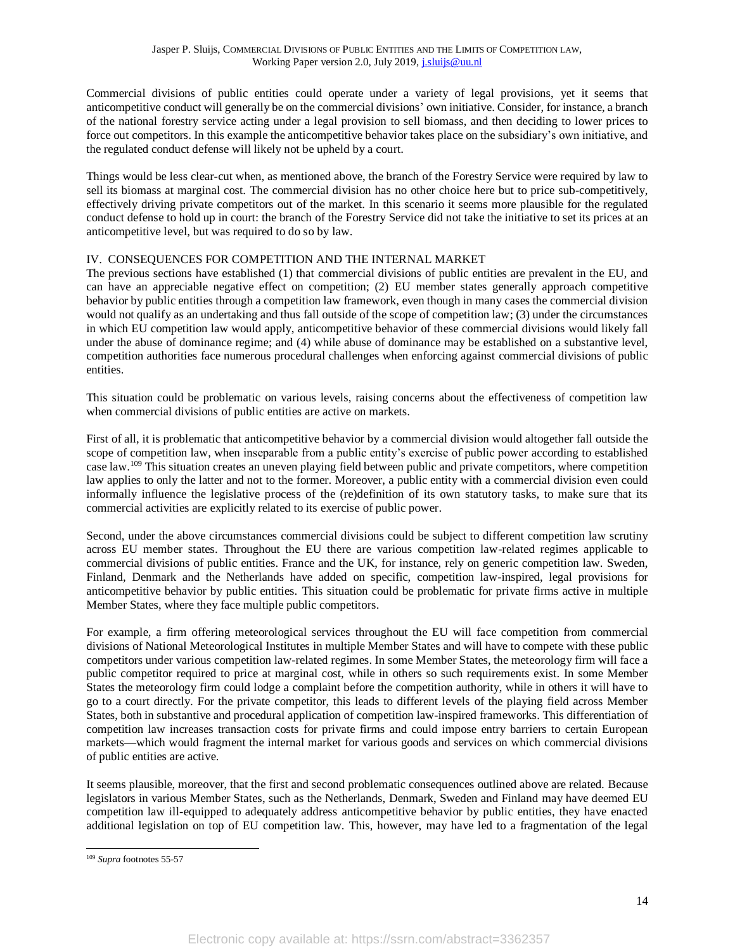Commercial divisions of public entities could operate under a variety of legal provisions, yet it seems that anticompetitive conduct will generally be on the commercial divisions' own initiative. Consider, for instance, a branch of the national forestry service acting under a legal provision to sell biomass, and then deciding to lower prices to force out competitors. In this example the anticompetitive behavior takes place on the subsidiary's own initiative, and the regulated conduct defense will likely not be upheld by a court.

Things would be less clear-cut when, as mentioned above, the branch of the Forestry Service were required by law to sell its biomass at marginal cost. The commercial division has no other choice here but to price sub-competitively, effectively driving private competitors out of the market. In this scenario it seems more plausible for the regulated conduct defense to hold up in court: the branch of the Forestry Service did not take the initiative to set its prices at an anticompetitive level, but was required to do so by law.

# <span id="page-13-0"></span>IV. CONSEQUENCES FOR COMPETITION AND THE INTERNAL MARKET

The previous sections have established (1) that commercial divisions of public entities are prevalent in the EU, and can have an appreciable negative effect on competition; (2) EU member states generally approach competitive behavior by public entities through a competition law framework, even though in many cases the commercial division would not qualify as an undertaking and thus fall outside of the scope of competition law; (3) under the circumstances in which EU competition law would apply, anticompetitive behavior of these commercial divisions would likely fall under the abuse of dominance regime; and (4) while abuse of dominance may be established on a substantive level, competition authorities face numerous procedural challenges when enforcing against commercial divisions of public entities.

This situation could be problematic on various levels, raising concerns about the effectiveness of competition law when commercial divisions of public entities are active on markets.

First of all, it is problematic that anticompetitive behavior by a commercial division would altogether fall outside the scope of competition law, when inseparable from a public entity's exercise of public power according to established case law.<sup>109</sup> This situation creates an uneven playing field between public and private competitors, where competition law applies to only the latter and not to the former. Moreover, a public entity with a commercial division even could informally influence the legislative process of the (re)definition of its own statutory tasks, to make sure that its commercial activities are explicitly related to its exercise of public power.

Second, under the above circumstances commercial divisions could be subject to different competition law scrutiny across EU member states. Throughout the EU there are various competition law-related regimes applicable to commercial divisions of public entities. France and the UK, for instance, rely on generic competition law. Sweden, Finland, Denmark and the Netherlands have added on specific, competition law-inspired, legal provisions for anticompetitive behavior by public entities. This situation could be problematic for private firms active in multiple Member States, where they face multiple public competitors.

For example, a firm offering meteorological services throughout the EU will face competition from commercial divisions of National Meteorological Institutes in multiple Member States and will have to compete with these public competitors under various competition law-related regimes. In some Member States, the meteorology firm will face a public competitor required to price at marginal cost, while in others so such requirements exist. In some Member States the meteorology firm could lodge a complaint before the competition authority, while in others it will have to go to a court directly. For the private competitor, this leads to different levels of the playing field across Member States, both in substantive and procedural application of competition law-inspired frameworks. This differentiation of competition law increases transaction costs for private firms and could impose entry barriers to certain European markets—which would fragment the internal market for various goods and services on which commercial divisions of public entities are active.

It seems plausible, moreover, that the first and second problematic consequences outlined above are related. Because legislators in various Member States, such as the Netherlands, Denmark, Sweden and Finland may have deemed EU competition law ill-equipped to adequately address anticompetitive behavior by public entities, they have enacted additional legislation on top of EU competition law. This, however, may have led to a fragmentation of the legal

<sup>109</sup> *Supra* footnote[s 55-](#page-7-2)[57](#page-7-3)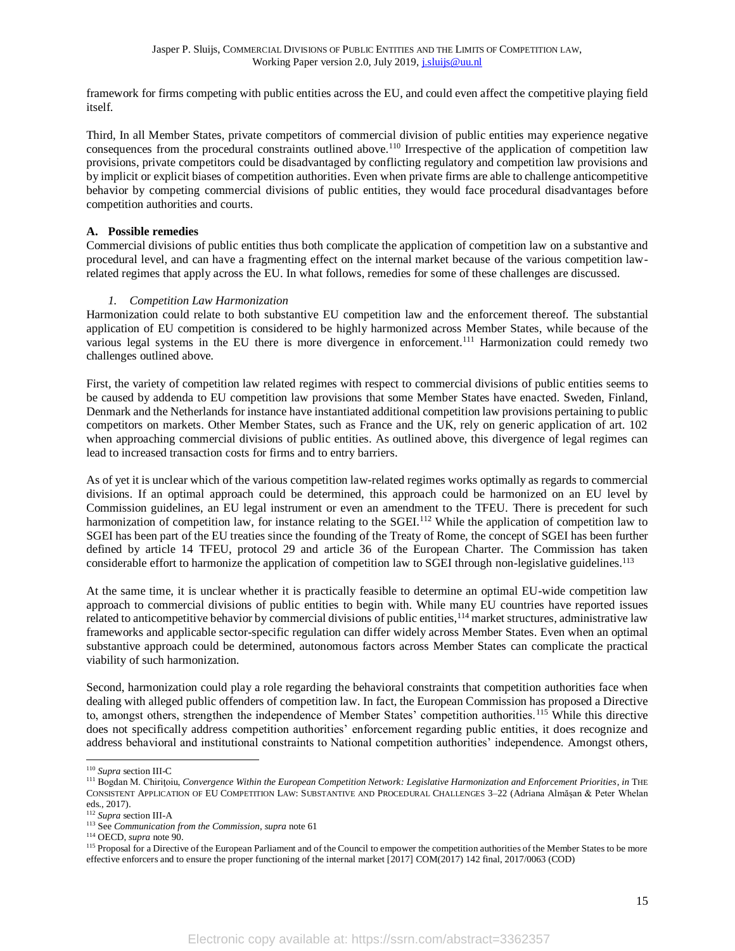framework for firms competing with public entities across the EU, and could even affect the competitive playing field itself.

Third, In all Member States, private competitors of commercial division of public entities may experience negative consequences from the procedural constraints outlined above. <sup>110</sup> Irrespective of the application of competition law provisions, private competitors could be disadvantaged by conflicting regulatory and competition law provisions and by implicit or explicit biases of competition authorities. Even when private firms are able to challenge anticompetitive behavior by competing commercial divisions of public entities, they would face procedural disadvantages before competition authorities and courts.

#### <span id="page-14-0"></span>**A. Possible remedies**

Commercial divisions of public entities thus both complicate the application of competition law on a substantive and procedural level, and can have a fragmenting effect on the internal market because of the various competition lawrelated regimes that apply across the EU. In what follows, remedies for some of these challenges are discussed.

#### *1. Competition Law Harmonization*

<span id="page-14-1"></span>Harmonization could relate to both substantive EU competition law and the enforcement thereof. The substantial application of EU competition is considered to be highly harmonized across Member States, while because of the various legal systems in the EU there is more divergence in enforcement.<sup>111</sup> Harmonization could remedy two challenges outlined above.

First, the variety of competition law related regimes with respect to commercial divisions of public entities seems to be caused by addenda to EU competition law provisions that some Member States have enacted. Sweden, Finland, Denmark and the Netherlands for instance have instantiated additional competition law provisions pertaining to public competitors on markets. Other Member States, such as France and the UK, rely on generic application of art. 102 when approaching commercial divisions of public entities. As outlined above, this divergence of legal regimes can lead to increased transaction costs for firms and to entry barriers.

As of yet it is unclear which of the various competition law-related regimes works optimally as regards to commercial divisions. If an optimal approach could be determined, this approach could be harmonized on an EU level by Commission guidelines, an EU legal instrument or even an amendment to the TFEU. There is precedent for such harmonization of competition law, for instance relating to the SGEI.<sup>112</sup> While the application of competition law to SGEI has been part of the EU treaties since the founding of the Treaty of Rome, the concept of SGEI has been further defined by article 14 TFEU, protocol 29 and article 36 of the European Charter. The Commission has taken considerable effort to harmonize the application of competition law to SGEI through non-legislative guidelines.<sup>113</sup>

At the same time, it is unclear whether it is practically feasible to determine an optimal EU-wide competition law approach to commercial divisions of public entities to begin with. While many EU countries have reported issues related to anticompetitive behavior by commercial divisions of public entities, <sup>114</sup> market structures, administrative law frameworks and applicable sector-specific regulation can differ widely across Member States. Even when an optimal substantive approach could be determined, autonomous factors across Member States can complicate the practical viability of such harmonization.

Second, harmonization could play a role regarding the behavioral constraints that competition authorities face when dealing with alleged public offenders of competition law. In fact, the European Commission has proposed a Directive to, amongst others, strengthen the independence of Member States' competition authorities.<sup>115</sup> While this directive does not specifically address competition authorities' enforcement regarding public entities, it does recognize and address behavioral and institutional constraints to National competition authorities' independence. Amongst others,

<sup>110</sup> *Supra* sectio[n III-](#page-6-0)[C](#page-10-0)

<sup>111</sup> Bogdan M. Chiriţoiu, *Convergence Within the European Competition Network: Legislative Harmonization and Enforcement Priorities*, *in* THE CONSISTENT APPLICATION OF EU COMPETITION LAW: SUBSTANTIVE AND PROCEDURAL CHALLENGES 3–22 (Adriana Almășan & Peter Whelan eds., 2017).

<sup>112</sup> *Supra* sectio[n III-](#page-6-0)[A](#page-6-1)

<sup>113</sup> See *Communication from the Commission*, *supra* not[e 61](#page-7-4)

<sup>114</sup> OECD, *supra* note 90.

<sup>&</sup>lt;sup>115</sup> Proposal for a Directive of the European Parliament and of the Council to empower the competition authorities of the Member States to be more effective enforcers and to ensure the proper functioning of the internal market [2017] COM(2017) 142 final, 2017/0063 (COD)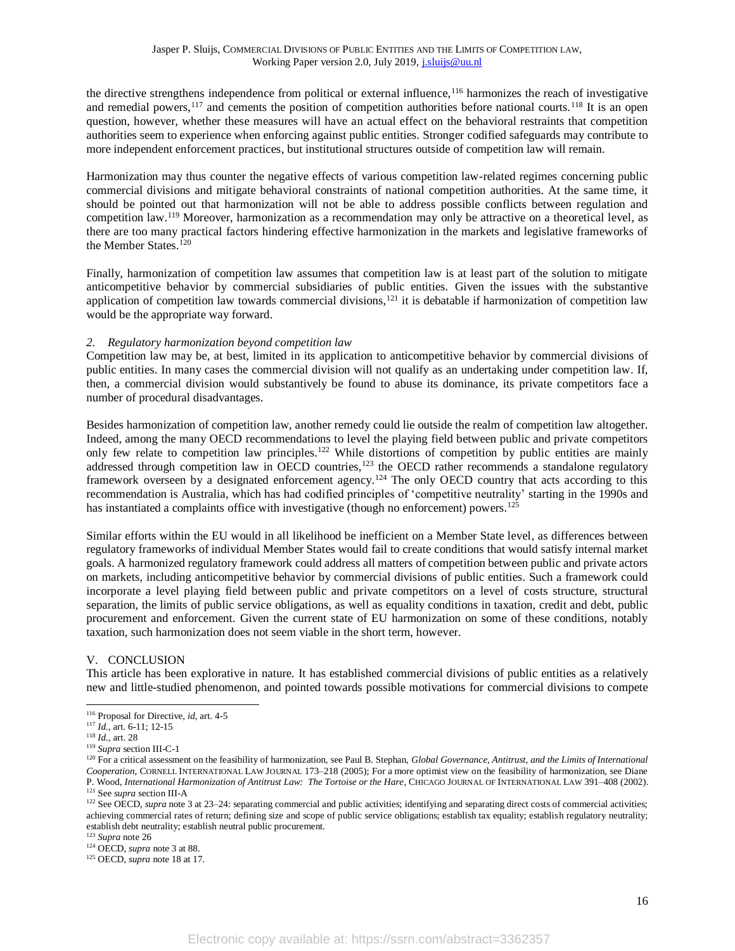the directive strengthens independence from political or external influence,<sup>116</sup> harmonizes the reach of investigative and remedial powers,  $^{117}$  and cements the position of competition authorities before national courts.  $^{118}$  It is an open question, however, whether these measures will have an actual effect on the behavioral restraints that competition authorities seem to experience when enforcing against public entities. Stronger codified safeguards may contribute to more independent enforcement practices, but institutional structures outside of competition law will remain.

Harmonization may thus counter the negative effects of various competition law-related regimes concerning public commercial divisions and mitigate behavioral constraints of national competition authorities. At the same time, it should be pointed out that harmonization will not be able to address possible conflicts between regulation and competition law.<sup>119</sup> Moreover, harmonization as a recommendation may only be attractive on a theoretical level, as there are too many practical factors hindering effective harmonization in the markets and legislative frameworks of the Member States.<sup>120</sup>

Finally, harmonization of competition law assumes that competition law is at least part of the solution to mitigate anticompetitive behavior by commercial subsidiaries of public entities. Given the issues with the substantive application of competition law towards commercial divisions, $121$  it is debatable if harmonization of competition law would be the appropriate way forward.

#### <span id="page-15-0"></span>*2. Regulatory harmonization beyond competition law*

Competition law may be, at best, limited in its application to anticompetitive behavior by commercial divisions of public entities. In many cases the commercial division will not qualify as an undertaking under competition law. If, then, a commercial division would substantively be found to abuse its dominance, its private competitors face a number of procedural disadvantages.

Besides harmonization of competition law, another remedy could lie outside the realm of competition law altogether. Indeed, among the many OECD recommendations to level the playing field between public and private competitors only few relate to competition law principles.<sup>122</sup> While distortions of competition by public entities are mainly addressed through competition law in OECD countries,<sup>123</sup> the OECD rather recommends a standalone regulatory framework overseen by a designated enforcement agency.<sup>124</sup> The only OECD country that acts according to this recommendation is Australia, which has had codified principles of 'competitive neutrality' starting in the 1990s and has instantiated a complaints office with investigative (though no enforcement) powers.<sup>125</sup>

Similar efforts within the EU would in all likelihood be inefficient on a Member State level, as differences between regulatory frameworks of individual Member States would fail to create conditions that would satisfy internal market goals. A harmonized regulatory framework could address all matters of competition between public and private actors on markets, including anticompetitive behavior by commercial divisions of public entities. Such a framework could incorporate a level playing field between public and private competitors on a level of costs structure, structural separation, the limits of public service obligations, as well as equality conditions in taxation, credit and debt, public procurement and enforcement. Given the current state of EU harmonization on some of these conditions, notably taxation, such harmonization does not seem viable in the short term, however.

# <span id="page-15-1"></span>V. CONCLUSION

This article has been explorative in nature. It has established commercial divisions of public entities as a relatively new and little-studied phenomenon, and pointed towards possible motivations for commercial divisions to compete

<sup>122</sup> See OECD, *supra* note 3 at 23–24: separating commercial and public activities; identifying and separating direct costs of commercial activities; achieving commercial rates of return; defining size and scope of public service obligations; establish tax equality; establish regulatory neutrality; establish debt neutrality; establish neutral public procurement.

<sup>116</sup> Proposal for Directive, *id*, art. 4-5

<sup>117</sup> *Id.,* art. 6-11; 12-15

<sup>118</sup> *Id.*, art. 28

<sup>119</sup> *Supra* sectio[n III-](#page-6-0)[C-](#page-10-0)[1](#page-10-1)

<sup>&</sup>lt;sup>120</sup> For a critical assessment on the feasibility of harmonization, see Paul B. Stephan, *Global Governance, Antitrust, and the Limits of International Cooperation*, CORNELL INTERNATIONAL LAW JOURNAL 173–218 (2005); For a more optimist view on the feasibility of harmonization, see Diane P. Wood, *International Harmonization of Antitrust Law: The Tortoise or the Hare*, CHICAGO JOURNAL OF INTERNATIONAL LAW 391–408 (2002). <sup>121</sup> See *supra* sectio[n III](#page-6-0)[-A](#page-6-1)

<sup>123</sup> *Supra* note 26

<sup>124</sup> OECD, *supra* note 3 at 88.

<sup>125</sup> OECD, *supra* note 18 at 17.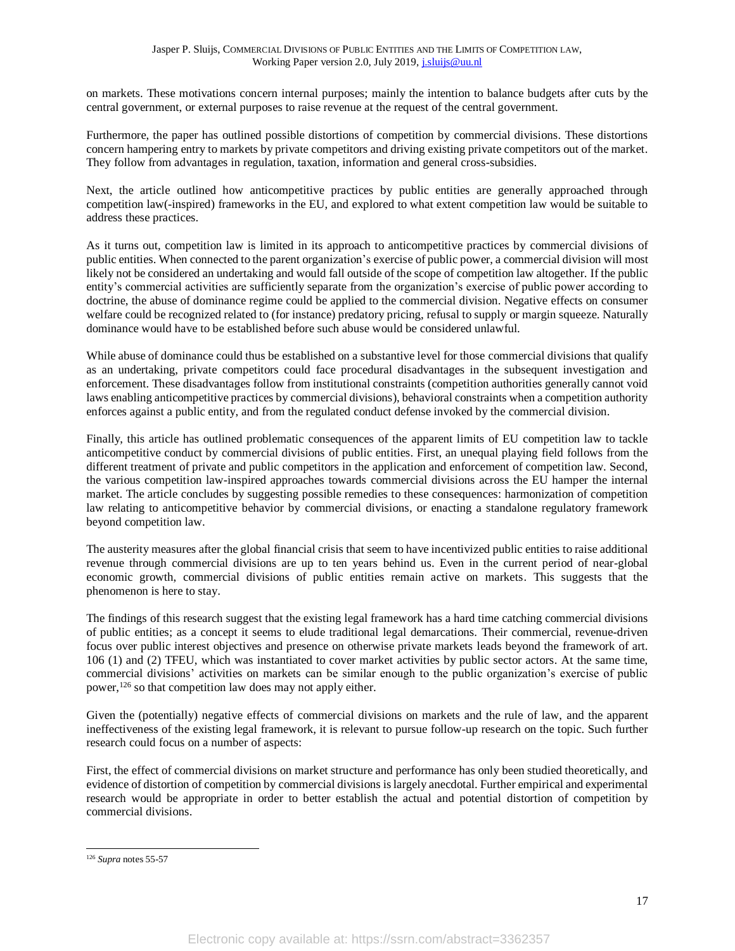on markets. These motivations concern internal purposes; mainly the intention to balance budgets after cuts by the central government, or external purposes to raise revenue at the request of the central government.

Furthermore, the paper has outlined possible distortions of competition by commercial divisions. These distortions concern hampering entry to markets by private competitors and driving existing private competitors out of the market. They follow from advantages in regulation, taxation, information and general cross-subsidies.

Next, the article outlined how anticompetitive practices by public entities are generally approached through competition law(-inspired) frameworks in the EU, and explored to what extent competition law would be suitable to address these practices.

As it turns out, competition law is limited in its approach to anticompetitive practices by commercial divisions of public entities. When connected to the parent organization's exercise of public power, a commercial division will most likely not be considered an undertaking and would fall outside of the scope of competition law altogether. If the public entity's commercial activities are sufficiently separate from the organization's exercise of public power according to doctrine, the abuse of dominance regime could be applied to the commercial division. Negative effects on consumer welfare could be recognized related to (for instance) predatory pricing, refusal to supply or margin squeeze. Naturally dominance would have to be established before such abuse would be considered unlawful.

While abuse of dominance could thus be established on a substantive level for those commercial divisions that qualify as an undertaking, private competitors could face procedural disadvantages in the subsequent investigation and enforcement. These disadvantages follow from institutional constraints (competition authorities generally cannot void laws enabling anticompetitive practices by commercial divisions), behavioral constraints when a competition authority enforces against a public entity, and from the regulated conduct defense invoked by the commercial division.

Finally, this article has outlined problematic consequences of the apparent limits of EU competition law to tackle anticompetitive conduct by commercial divisions of public entities. First, an unequal playing field follows from the different treatment of private and public competitors in the application and enforcement of competition law. Second, the various competition law-inspired approaches towards commercial divisions across the EU hamper the internal market. The article concludes by suggesting possible remedies to these consequences: harmonization of competition law relating to anticompetitive behavior by commercial divisions, or enacting a standalone regulatory framework beyond competition law.

The austerity measures after the global financial crisis that seem to have incentivized public entities to raise additional revenue through commercial divisions are up to ten years behind us. Even in the current period of near-global economic growth, commercial divisions of public entities remain active on markets. This suggests that the phenomenon is here to stay.

The findings of this research suggest that the existing legal framework has a hard time catching commercial divisions of public entities; as a concept it seems to elude traditional legal demarcations. Their commercial, revenue-driven focus over public interest objectives and presence on otherwise private markets leads beyond the framework of art. 106 (1) and (2) TFEU, which was instantiated to cover market activities by public sector actors. At the same time, commercial divisions' activities on markets can be similar enough to the public organization's exercise of public power,<sup>126</sup> so that competition law does may not apply either.

Given the (potentially) negative effects of commercial divisions on markets and the rule of law, and the apparent ineffectiveness of the existing legal framework, it is relevant to pursue follow-up research on the topic. Such further research could focus on a number of aspects:

First, the effect of commercial divisions on market structure and performance has only been studied theoretically, and evidence of distortion of competition by commercial divisions is largely anecdotal. Further empirical and experimental research would be appropriate in order to better establish the actual and potential distortion of competition by commercial divisions.

<sup>126</sup> *Supra* note[s 55-](#page-7-2)[57](#page-7-3)